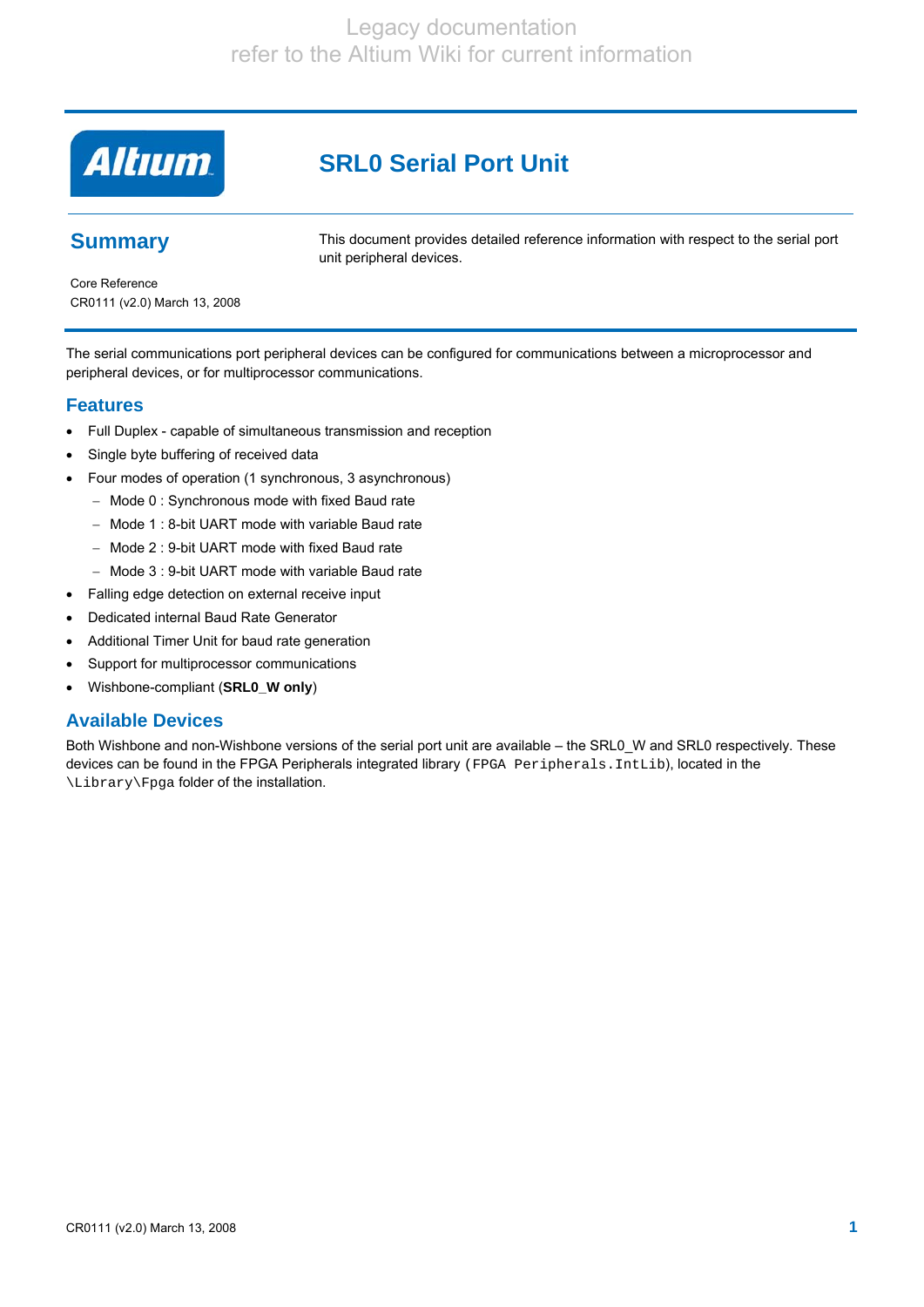**Altıum** 

# **SRL0 Serial Port Unit**

## **Summary**

This document provides detailed reference information with respect to the serial port unit peripheral devices.

Core Reference CR0111 (v2.0) March 13, 2008

The serial communications port peripheral devices can be configured for communications between a microprocessor and peripheral devices, or for multiprocessor communications.

### **Features**

- Full Duplex capable of simultaneous transmission and reception
- Single byte buffering of received data
- Four modes of operation (1 synchronous, 3 asynchronous)
	- − Mode 0 : Synchronous mode with fixed Baud rate
	- − Mode 1 : 8-bit UART mode with variable Baud rate
	- − Mode 2 : 9-bit UART mode with fixed Baud rate
	- − Mode 3 : 9-bit UART mode with variable Baud rate
- Falling edge detection on external receive input
- Dedicated internal Baud Rate Generator
- Additional Timer Unit for baud rate generation
- Support for multiprocessor communications
- Wishbone-compliant (**SRL0\_W only**)

### **Available Devices**

Both Wishbone and non-Wishbone versions of the serial port unit are available – the SRL0\_W and SRL0 respectively. These devices can be found in the FPGA Peripherals integrated library (FPGA Peripherals.IntLib), located in the \Library\Fpga folder of the installation.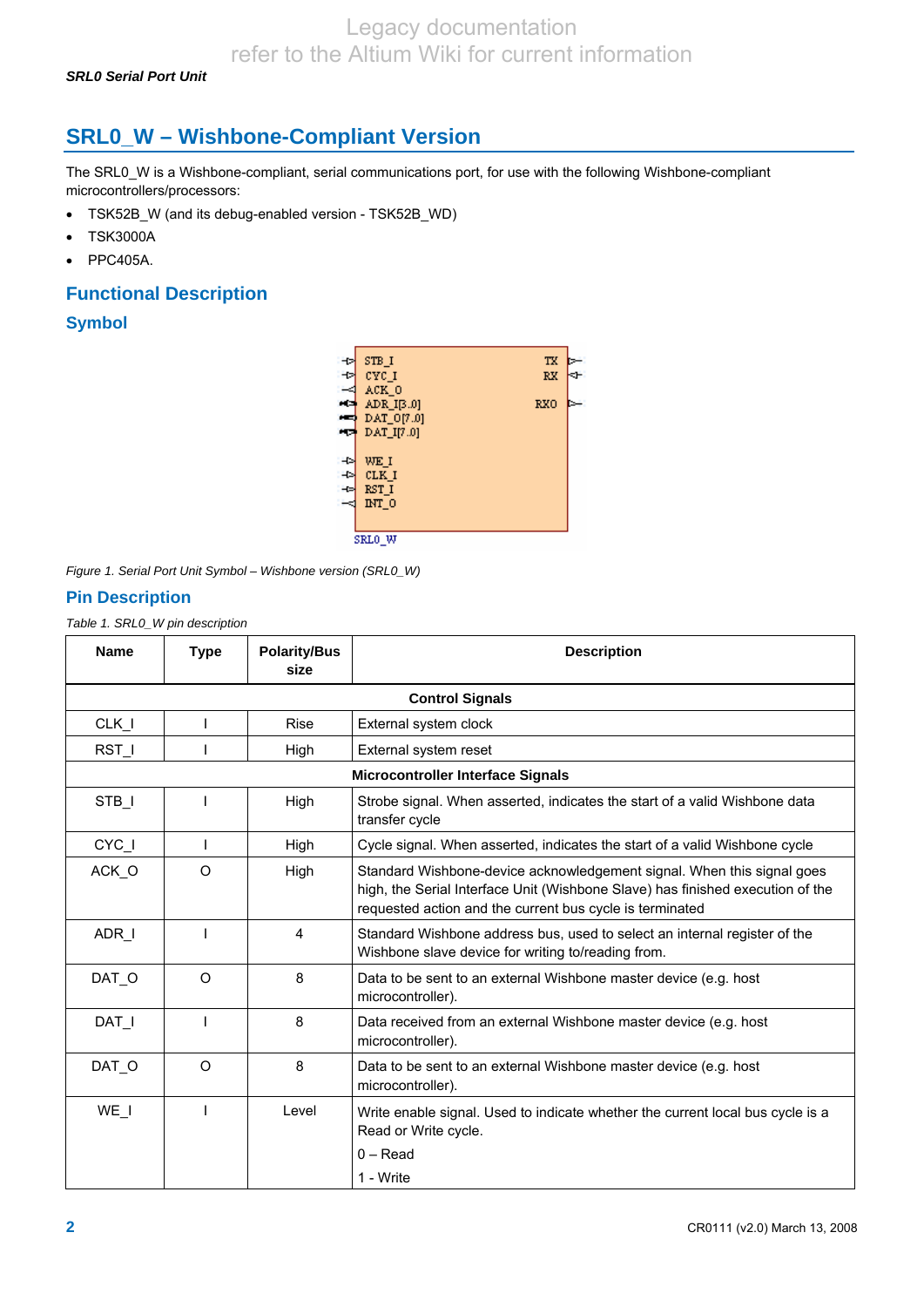*SRL0 Serial Port Unit* 

# **SRL0\_W – Wishbone-Compliant Version**

The SRL0\_W is a Wishbone-compliant, serial communications port, for use with the following Wishbone-compliant microcontrollers/processors:

- TSK52B W (and its debug-enabled version TSK52B WD)
- TSK3000A
- PPC405A.

### **Functional Description**

### **Symbol**



*Figure 1. Serial Port Unit Symbol – Wishbone version (SRL0\_W)* 

### **Pin Description**

*Table 1. SRL0\_W pin description* 

| <b>Name</b> | <b>Type</b>            | <b>Polarity/Bus</b><br>size | <b>Description</b>                                                                                                                                                                                                   |  |  |
|-------------|------------------------|-----------------------------|----------------------------------------------------------------------------------------------------------------------------------------------------------------------------------------------------------------------|--|--|
|             | <b>Control Signals</b> |                             |                                                                                                                                                                                                                      |  |  |
| $CLK_l$     |                        | <b>Rise</b>                 | External system clock                                                                                                                                                                                                |  |  |
| RST I       |                        | High                        | External system reset                                                                                                                                                                                                |  |  |
|             |                        |                             | <b>Microcontroller Interface Signals</b>                                                                                                                                                                             |  |  |
| STB I       |                        | High                        | Strobe signal. When asserted, indicates the start of a valid Wishbone data<br>transfer cycle                                                                                                                         |  |  |
| CYC_I       |                        | High                        | Cycle signal. When asserted, indicates the start of a valid Wishbone cycle                                                                                                                                           |  |  |
| ACK O       | $\Omega$               | High                        | Standard Wishbone-device acknowledgement signal. When this signal goes<br>high, the Serial Interface Unit (Wishbone Slave) has finished execution of the<br>requested action and the current bus cycle is terminated |  |  |
| ADR I       |                        | 4                           | Standard Wishbone address bus, used to select an internal register of the<br>Wishbone slave device for writing to/reading from.                                                                                      |  |  |
| DAT O       | $\Omega$               | 8                           | Data to be sent to an external Wishbone master device (e.g. host<br>microcontroller).                                                                                                                                |  |  |
| DAT I       |                        | 8                           | Data received from an external Wishbone master device (e.g. host<br>microcontroller).                                                                                                                                |  |  |
| DAT O       | $\circ$                | 8                           | Data to be sent to an external Wishbone master device (e.g. host<br>microcontroller).                                                                                                                                |  |  |
| WE I        |                        | Level                       | Write enable signal. Used to indicate whether the current local bus cycle is a<br>Read or Write cycle.<br>$0 - Read$<br>1 - Write                                                                                    |  |  |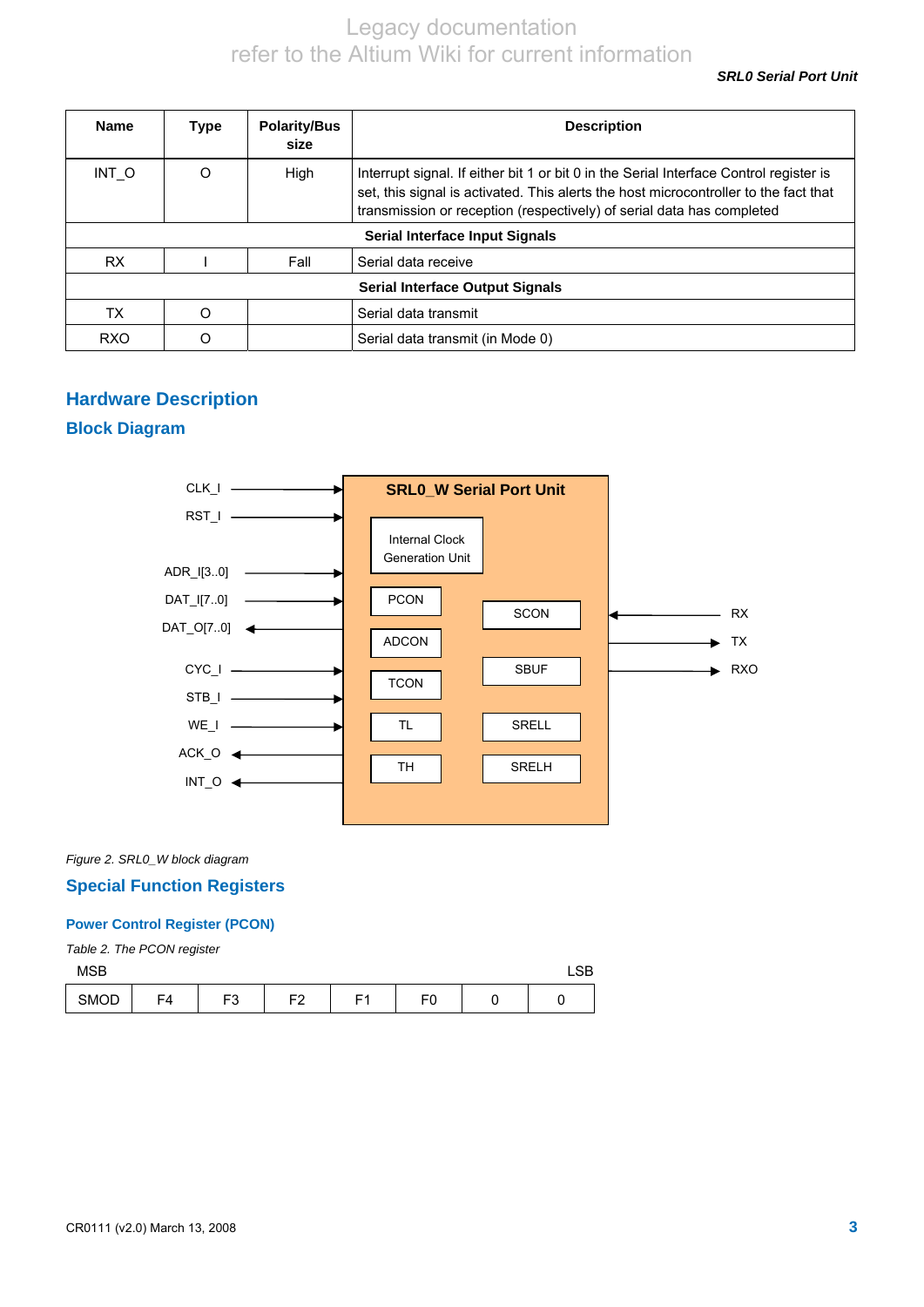*SRL0 Serial Port Unit* 

| <b>Name</b> | Type                                   | <b>Polarity/Bus</b><br>size | <b>Description</b>                                                                                                                                                                                                                                      |  |
|-------------|----------------------------------------|-----------------------------|---------------------------------------------------------------------------------------------------------------------------------------------------------------------------------------------------------------------------------------------------------|--|
| INT O       |                                        | High                        | Interrupt signal. If either bit 1 or bit 0 in the Serial Interface Control register is<br>set, this signal is activated. This alerts the host microcontroller to the fact that<br>transmission or reception (respectively) of serial data has completed |  |
|             | Serial Interface Input Signals         |                             |                                                                                                                                                                                                                                                         |  |
| <b>RX</b>   |                                        | Fall                        | Serial data receive                                                                                                                                                                                                                                     |  |
|             | <b>Serial Interface Output Signals</b> |                             |                                                                                                                                                                                                                                                         |  |
| TX          |                                        |                             | Serial data transmit                                                                                                                                                                                                                                    |  |
| <b>RXO</b>  |                                        |                             | Serial data transmit (in Mode 0)                                                                                                                                                                                                                        |  |

### **Hardware Description**

### **Block Diagram**



*Figure 2. SRL0\_W block diagram* 

### **Special Function Registers**

### **Power Control Register (PCON)**

*Table 2. The PCON register* 

| <b>MSB</b> |    |        |         |    |          | $\cap$<br>∟ง⊳ |
|------------|----|--------|---------|----|----------|---------------|
| SMOD       | F4 | ∼<br>ഄ | c٥<br>- | г. | r c<br>- |               |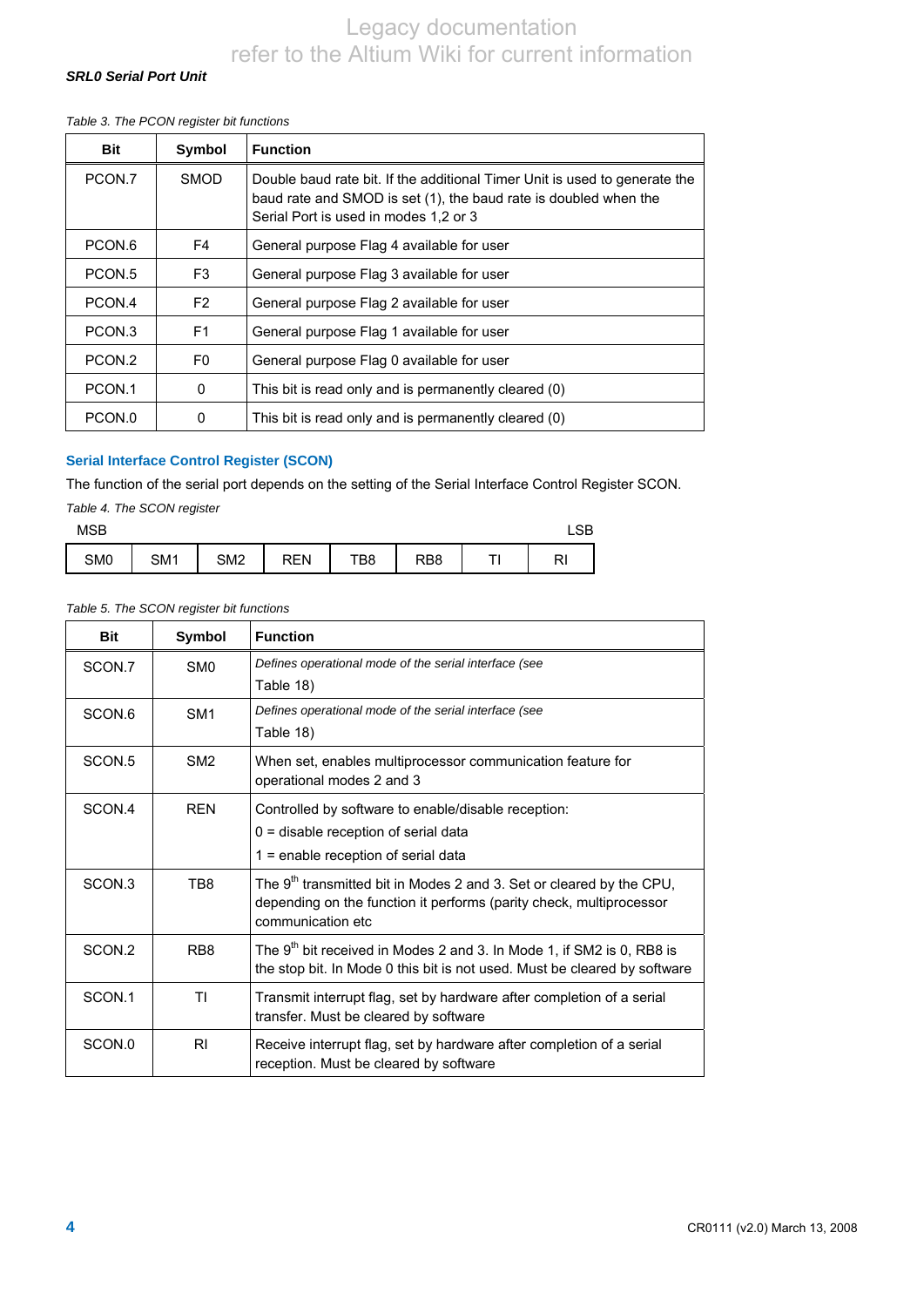### *SRL0 Serial Port Unit*

#### *Table 3. The PCON register bit functions*

| <b>Bit</b> | Symbol         | <b>Function</b>                                                                                                                                                                         |
|------------|----------------|-----------------------------------------------------------------------------------------------------------------------------------------------------------------------------------------|
| PCON.7     | <b>SMOD</b>    | Double baud rate bit. If the additional Timer Unit is used to generate the<br>baud rate and SMOD is set (1), the baud rate is doubled when the<br>Serial Port is used in modes 1,2 or 3 |
| PCON.6     | F4             | General purpose Flag 4 available for user                                                                                                                                               |
| PCON.5     | F <sub>3</sub> | General purpose Flag 3 available for user                                                                                                                                               |
| PCON.4     | F <sub>2</sub> | General purpose Flag 2 available for user                                                                                                                                               |
| PCON.3     | F <sub>1</sub> | General purpose Flag 1 available for user                                                                                                                                               |
| PCON.2     | F <sub>0</sub> | General purpose Flag 0 available for user                                                                                                                                               |
| PCON.1     | $\Omega$       | This bit is read only and is permanently cleared (0)                                                                                                                                    |
| PCON.0     | 0              | This bit is read only and is permanently cleared (0)                                                                                                                                    |

### **Serial Interface Control Register (SCON)**

The function of the serial port depends on the setting of the Serial Interface Control Register SCON.

|  | Table 4. The SCON register |
|--|----------------------------|
|  |                            |

| MSB |     |                 |            |     |     |   | <b>OD</b><br>∟ఎ¤ |
|-----|-----|-----------------|------------|-----|-----|---|------------------|
| SM0 | SM1 | SM <sub>2</sub> | <b>REN</b> | TB8 | RB8 | ÷ | D'<br>гV,        |

#### *Table 5. The SCON register bit functions*

| <b>Bit</b>        | Symbol          | <b>Function</b>                                                                                                                                                    |
|-------------------|-----------------|--------------------------------------------------------------------------------------------------------------------------------------------------------------------|
| SCON.7            | SM <sub>0</sub> | Defines operational mode of the serial interface (see                                                                                                              |
|                   |                 | Table 18)                                                                                                                                                          |
| SCON.6            | SM <sub>1</sub> | Defines operational mode of the serial interface (see                                                                                                              |
|                   |                 | Table 18)                                                                                                                                                          |
| SCON <sub>5</sub> | SM <sub>2</sub> | When set, enables multiprocessor communication feature for                                                                                                         |
|                   |                 | operational modes 2 and 3                                                                                                                                          |
| SCON.4            | <b>RFN</b>      | Controlled by software to enable/disable reception:                                                                                                                |
|                   |                 | 0 = disable reception of serial data                                                                                                                               |
|                   |                 | 1 = enable reception of serial data                                                                                                                                |
| SCON <sub>3</sub> | TB8             | The $9th$ transmitted bit in Modes 2 and 3. Set or cleared by the CPU,<br>depending on the function it performs (parity check, multiprocessor<br>communication etc |
| SCON <sub>2</sub> | RB <sub>8</sub> | The 9 <sup>th</sup> bit received in Modes 2 and 3. In Mode 1, if SM2 is 0, RB8 is<br>the stop bit. In Mode 0 this bit is not used. Must be cleared by software     |
| SCON.1            | ΤI              | Transmit interrupt flag, set by hardware after completion of a serial<br>transfer. Must be cleared by software                                                     |
| SCON.0            | RI              | Receive interrupt flag, set by hardware after completion of a serial<br>reception. Must be cleared by software                                                     |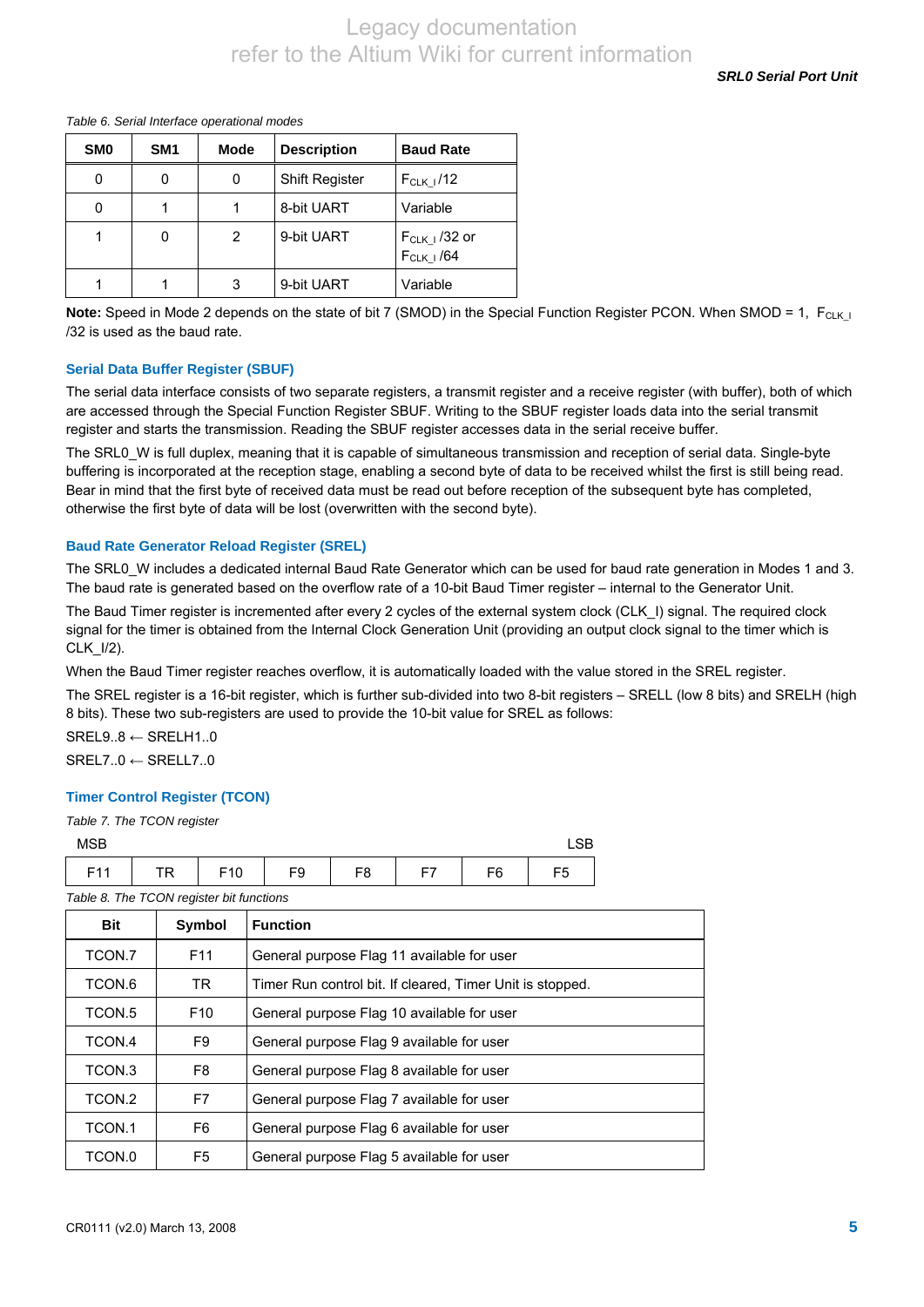*SRL0 Serial Port Unit* 

#### *Table 6. Serial Interface operational modes*

| SM <sub>0</sub> | SM <sub>1</sub> | <b>Mode</b> | <b>Description</b>    | <b>Baud Rate</b>                    |
|-----------------|-----------------|-------------|-----------------------|-------------------------------------|
| 0               | 0               | 0           | <b>Shift Register</b> | $F_{CLK}$ $/12$                     |
|                 |                 |             | 8-bit UART            | Variable                            |
|                 | 0               | 2           | 9-bit UART            | $F_{CLK I}$ /32 or<br>$F_{CLK}$ /64 |
|                 |                 | 3           | 9-bit UART            | Variable                            |

**Note:** Speed in Mode 2 depends on the state of bit 7 (SMOD) in the Special Function Register PCON. When SMOD = 1, F<sub>CLK I</sub> /32 is used as the baud rate.

### **Serial Data Buffer Register (SBUF)**

The serial data interface consists of two separate registers, a transmit register and a receive register (with buffer), both of which are accessed through the Special Function Register SBUF. Writing to the SBUF register loads data into the serial transmit register and starts the transmission. Reading the SBUF register accesses data in the serial receive buffer.

The SRL0 W is full duplex, meaning that it is capable of simultaneous transmission and reception of serial data. Single-byte buffering is incorporated at the reception stage, enabling a second byte of data to be received whilst the first is still being read. Bear in mind that the first byte of received data must be read out before reception of the subsequent byte has completed, otherwise the first byte of data will be lost (overwritten with the second byte).

#### **Baud Rate Generator Reload Register (SREL)**

The SRL0 W includes a dedicated internal Baud Rate Generator which can be used for baud rate generation in Modes 1 and 3. The baud rate is generated based on the overflow rate of a 10-bit Baud Timer register – internal to the Generator Unit.

The Baud Timer register is incremented after every 2 cycles of the external system clock (CLK\_I) signal. The required clock signal for the timer is obtained from the Internal Clock Generation Unit (providing an output clock signal to the timer which is CLK\_I/2).

When the Baud Timer register reaches overflow, it is automatically loaded with the value stored in the SREL register.

The SREL register is a 16-bit register, which is further sub-divided into two 8-bit registers – SRELL (low 8 bits) and SRELH (high 8 bits). These two sub-registers are used to provide the 10-bit value for SREL as follows:

SREL9..8 ← SRELH1..0  $SRF17.0 \leftarrow SRF117.0$ 

### **Timer Control Register (TCON)**

|  |  |  |  | Table 7. The TCON register |
|--|--|--|--|----------------------------|
|--|--|--|--|----------------------------|

| <b>MSB</b>                               |    |                 |    |                |    |    |
|------------------------------------------|----|-----------------|----|----------------|----|----|
| F <sub>11</sub>                          | TR | F <sub>10</sub> | F9 | F <sub>8</sub> | F6 | F5 |
| Table 8. The TCON register bit functions |    |                 |    |                |    |    |

| <b>Bit</b> | Symbol          | <b>Function</b>                                           |
|------------|-----------------|-----------------------------------------------------------|
| TCON.7     | F <sub>11</sub> | General purpose Flag 11 available for user                |
| TCON.6     | TR.             | Timer Run control bit. If cleared, Timer Unit is stopped. |
| TCON.5     | F <sub>10</sub> | General purpose Flag 10 available for user                |
| TCON.4     | F9              | General purpose Flag 9 available for user                 |
| TCON.3     | F8              | General purpose Flag 8 available for user                 |
| TCON.2     | F7              | General purpose Flag 7 available for user                 |
| TCON.1     | F6              | General purpose Flag 6 available for user                 |
| TCON.0     | F5              | General purpose Flag 5 available for user                 |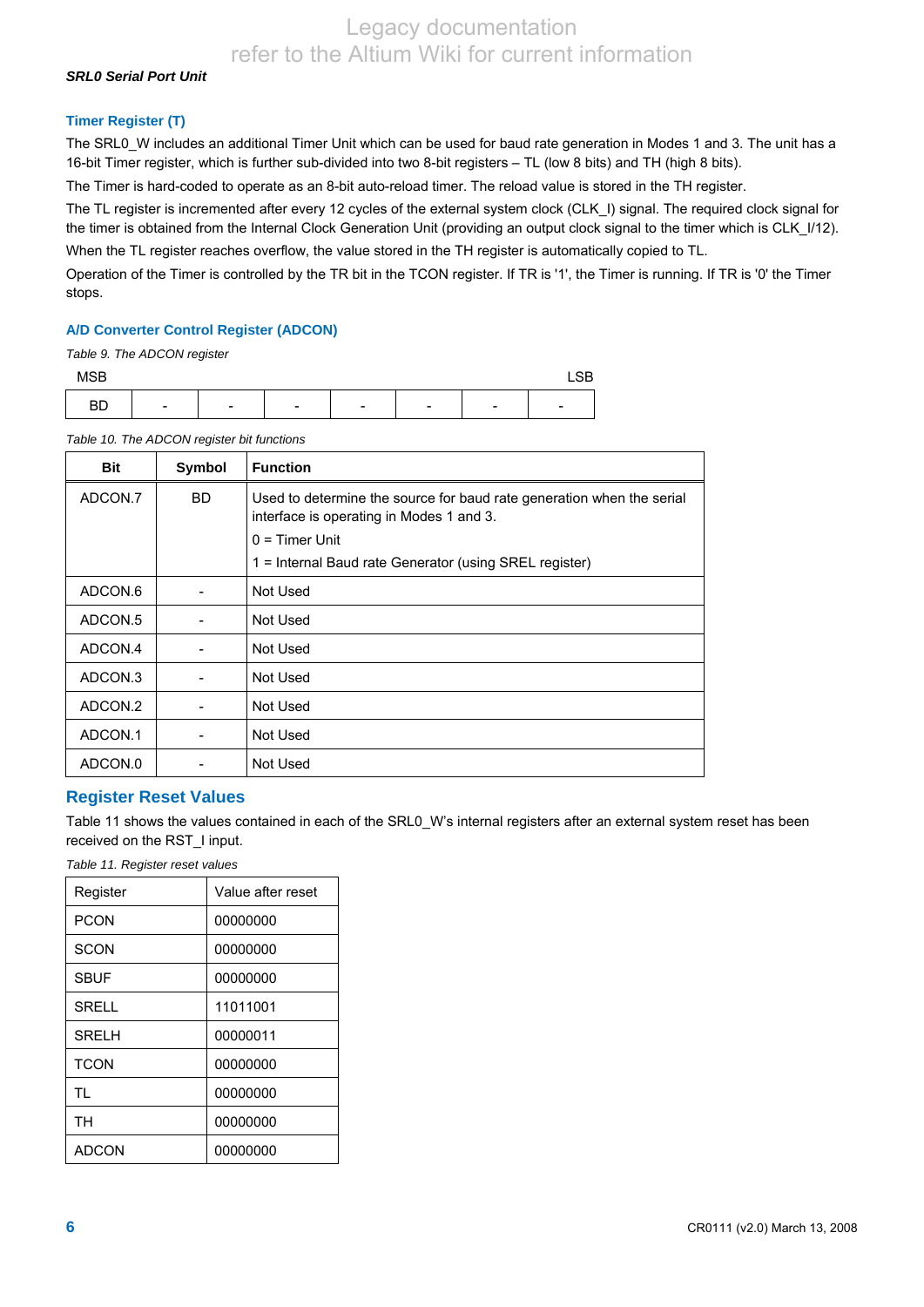### *SRL0 Serial Port Unit*

### **Timer Register (T)**

The SRL0\_W includes an additional Timer Unit which can be used for baud rate generation in Modes 1 and 3. The unit has a 16-bit Timer register, which is further sub-divided into two 8-bit registers – TL (low 8 bits) and TH (high 8 bits).

The Timer is hard-coded to operate as an 8-bit auto-reload timer. The reload value is stored in the TH register.

The TL register is incremented after every 12 cycles of the external system clock (CLK\_I) signal. The required clock signal for the timer is obtained from the Internal Clock Generation Unit (providing an output clock signal to the timer which is CLK\_I/12). When the TL register reaches overflow, the value stored in the TH register is automatically copied to TL.

Operation of the Timer is controlled by the TR bit in the TCON register. If TR is '1', the Timer is running. If TR is '0' the Timer stops.

#### **A/D Converter Control Register (ADCON)**

*Table 9. The ADCON register* 

| MSB       |                          |                          |                          |                          |                          |                          | ~~<br>∟∪∟ |
|-----------|--------------------------|--------------------------|--------------------------|--------------------------|--------------------------|--------------------------|-----------|
| <b>BD</b> | $\overline{\phantom{a}}$ | $\overline{\phantom{a}}$ | $\overline{\phantom{0}}$ | $\overline{\phantom{0}}$ | $\overline{\phantom{a}}$ | $\overline{\phantom{0}}$ | -         |

| <b>Bit</b>         | Symbol | <b>Function</b>                                                                                                   |
|--------------------|--------|-------------------------------------------------------------------------------------------------------------------|
| ADCON.7            | BD.    | Used to determine the source for baud rate generation when the serial<br>interface is operating in Modes 1 and 3. |
|                    |        | $0 =$ Timer Unit                                                                                                  |
|                    |        | 1 = Internal Baud rate Generator (using SREL register)                                                            |
| ADCON.6            |        | Not Used                                                                                                          |
| ADCON.5            |        | Not Used                                                                                                          |
| ADCON.4            |        | Not Used                                                                                                          |
| ADCON <sub>3</sub> |        | Not Used                                                                                                          |
| ADCON.2            |        | Not Used                                                                                                          |
| ADCON.1            |        | Not Used                                                                                                          |
| ADCON.0            |        | Not Used                                                                                                          |

*Table 10. The ADCON register bit functions* 

### **Register Reset Values**

Table 11 shows the values contained in each of the SRL0\_W's internal registers after an external system reset has been received on the RST\_I input.

*Table 11. Register reset values* 

| Register     | Value after reset |
|--------------|-------------------|
| <b>PCON</b>  | 00000000          |
| SCON         | 00000000          |
| <b>SBUF</b>  | 00000000          |
| <b>SRELL</b> | 11011001          |
| <b>SRELH</b> | 00000011          |
| <b>TCON</b>  | 00000000          |
| <b>TL</b>    | 00000000          |
| <b>TH</b>    | 00000000          |
| <b>ADCON</b> | 00000000          |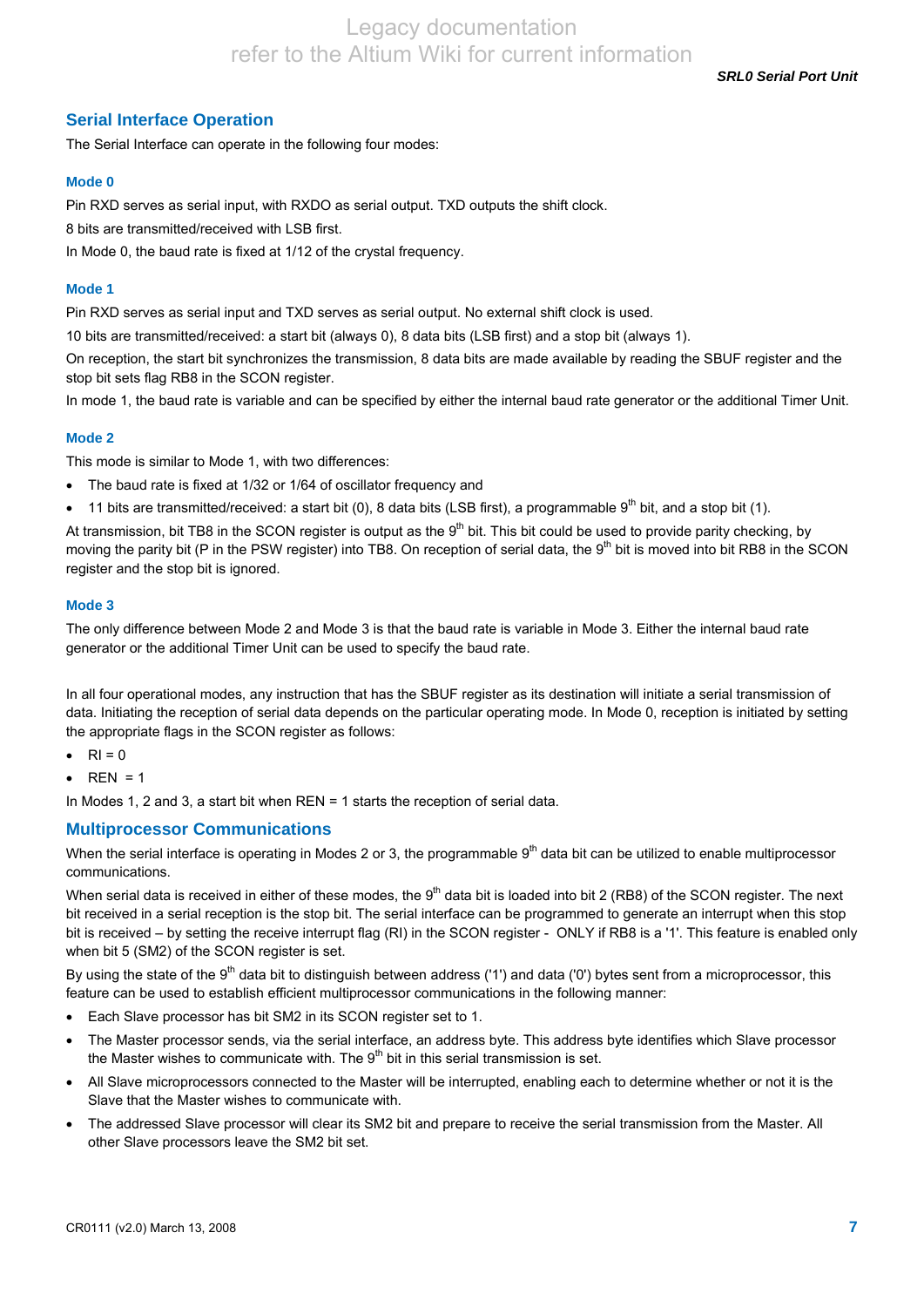*SRL0 Serial Port Unit* 

### **Serial Interface Operation**

The Serial Interface can operate in the following four modes:

### **Mode 0**

Pin RXD serves as serial input, with RXDO as serial output. TXD outputs the shift clock.

8 bits are transmitted/received with LSB first.

In Mode 0, the baud rate is fixed at 1/12 of the crystal frequency.

#### **Mode 1**

Pin RXD serves as serial input and TXD serves as serial output. No external shift clock is used.

10 bits are transmitted/received: a start bit (always 0), 8 data bits (LSB first) and a stop bit (always 1).

On reception, the start bit synchronizes the transmission, 8 data bits are made available by reading the SBUF register and the stop bit sets flag RB8 in the SCON register.

In mode 1, the baud rate is variable and can be specified by either the internal baud rate generator or the additional Timer Unit.

### **Mode 2**

This mode is similar to Mode 1, with two differences:

- The baud rate is fixed at 1/32 or 1/64 of oscillator frequency and
- $\bullet$  11 bits are transmitted/received: a start bit (0), 8 data bits (LSB first), a programmable 9<sup>th</sup> bit, and a stop bit (1).

At transmission, bit TB8 in the SCON register is output as the  $9<sup>th</sup>$  bit. This bit could be used to provide parity checking, by moving the parity bit (P in the PSW register) into TB8. On reception of serial data, the  $9<sup>th</sup>$  bit is moved into bit RB8 in the SCON register and the stop bit is ignored.

#### **Mode 3**

The only difference between Mode 2 and Mode 3 is that the baud rate is variable in Mode 3. Either the internal baud rate generator or the additional Timer Unit can be used to specify the baud rate.

In all four operational modes, any instruction that has the SBUF register as its destination will initiate a serial transmission of data. Initiating the reception of serial data depends on the particular operating mode. In Mode 0, reception is initiated by setting the appropriate flags in the SCON register as follows:

- $RI = 0$
- $\bullet$  REN = 1

In Modes 1, 2 and 3, a start bit when REN = 1 starts the reception of serial data.

### **Multiprocessor Communications**

When the serial interface is operating in Modes 2 or 3, the programmable  $9<sup>th</sup>$  data bit can be utilized to enable multiprocessor communications.

When serial data is received in either of these modes, the 9<sup>th</sup> data bit is loaded into bit 2 (RB8) of the SCON register. The next bit received in a serial reception is the stop bit. The serial interface can be programmed to generate an interrupt when this stop bit is received – by setting the receive interrupt flag (RI) in the SCON register - ONLY if RB8 is a '1'. This feature is enabled only when bit 5 (SM2) of the SCON register is set.

By using the state of the  $9<sup>th</sup>$  data bit to distinguish between address ('1') and data ('0') bytes sent from a microprocessor, this feature can be used to establish efficient multiprocessor communications in the following manner:

- Each Slave processor has bit SM2 in its SCON register set to 1.
- The Master processor sends, via the serial interface, an address byte. This address byte identifies which Slave processor the Master wishes to communicate with. The  $9<sup>th</sup>$  bit in this serial transmission is set.
- All Slave microprocessors connected to the Master will be interrupted, enabling each to determine whether or not it is the Slave that the Master wishes to communicate with.
- The addressed Slave processor will clear its SM2 bit and prepare to receive the serial transmission from the Master. All other Slave processors leave the SM2 bit set.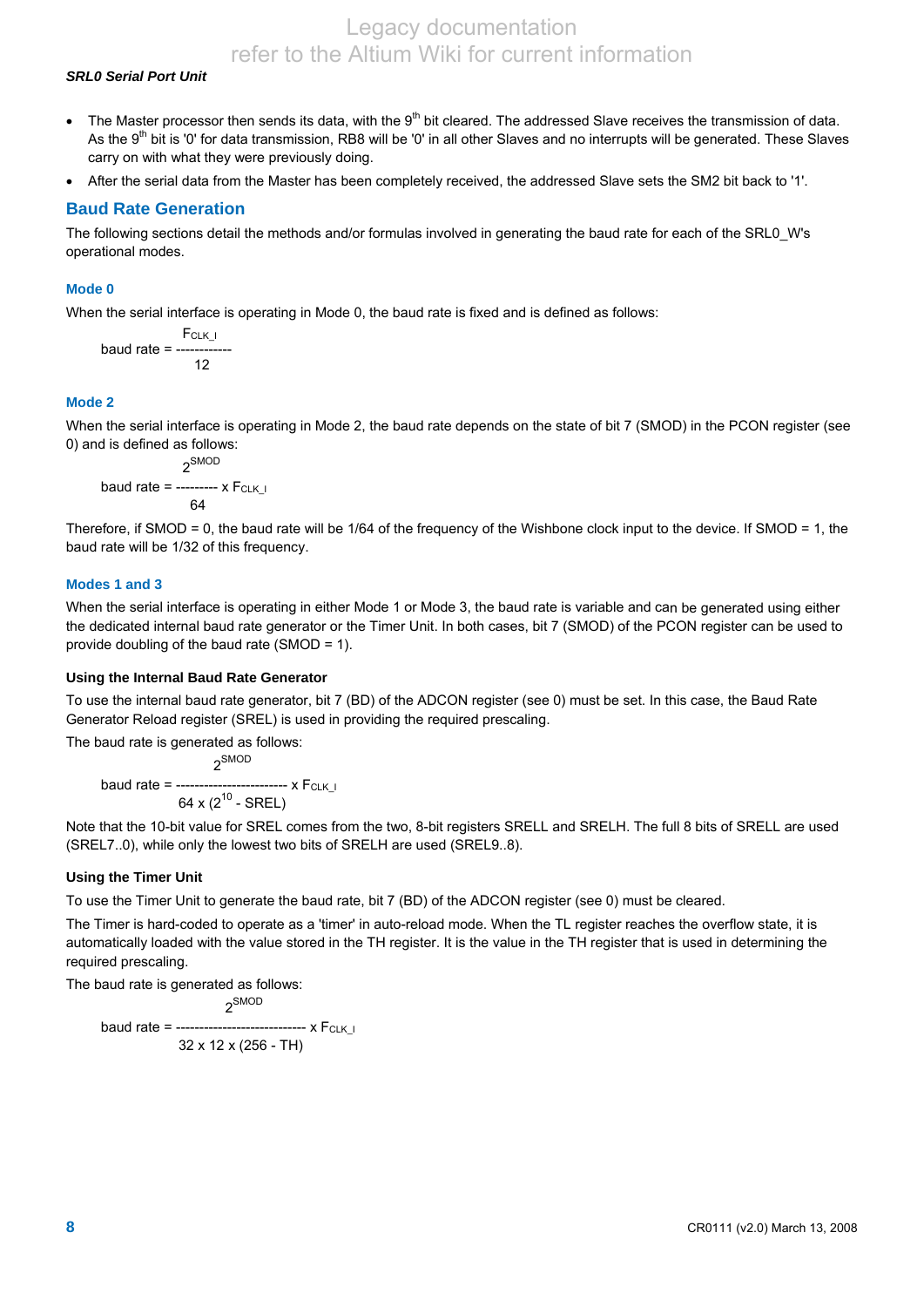### *SRL0 Serial Port Unit*

- The Master processor then sends its data, with the  $9<sup>th</sup>$  bit cleared. The addressed Slave receives the transmission of data. As the 9<sup>th</sup> bit is '0' for data transmission, RB8 will be '0' in all other Slaves and no interrupts will be generated. These Slaves carry on with what they were previously doing.
- After the serial data from the Master has been completely received, the addressed Slave sets the SM2 bit back to '1'.

### **Baud Rate Generation**

The following sections detail the methods and/or formulas involved in generating the baud rate for each of the SRL0\_W's operational modes.

#### **Mode 0**

When the serial interface is operating in Mode 0, the baud rate is fixed and is defined as follows:

$$
F_{CLK\_I}
$$
\nbaud rate =

\n
$$
12
$$

### **Mode 2**

When the serial interface is operating in Mode 2, the baud rate depends on the state of bit 7 (SMOD) in the PCON register (see 0) and is defined as follows:

$$
2^{SMOD}
$$
  
baud rate = 2
$$
64
$$

Therefore, if SMOD = 0, the baud rate will be  $1/64$  of the frequency of the Wishbone clock input to the device. If SMOD = 1, the baud rate will be 1/32 of this frequency.

#### **Modes 1 and 3**

When the serial interface is operating in either Mode 1 or Mode 3, the baud rate is variable and can be generated using either the dedicated internal baud rate generator or the Timer Unit. In both cases, bit 7 (SMOD) of the PCON register can be used to provide doubling of the baud rate (SMOD = 1).

#### **Using the Internal Baud Rate Generator**

To use the internal baud rate generator, bit 7 (BD) of the ADCON register (see 0) must be set. In this case, the Baud Rate Generator Reload register (SREL) is used in providing the required prescaling.

The baud rate is generated as follows:

$$
2^{SMOD}
$$
  
baud rate = 28.3  
64 x (2<sup>10</sup> - SREL)

Note that the 10-bit value for SREL comes from the two, 8-bit registers SRELL and SRELH. The full 8 bits of SRELL are used (SREL7..0), while only the lowest two bits of SRELH are used (SREL9..8).

#### **Using the Timer Unit**

To use the Timer Unit to generate the baud rate, bit 7 (BD) of the ADCON register (see 0) must be cleared.

The Timer is hard-coded to operate as a 'timer' in auto-reload mode. When the TL register reaches the overflow state, it is automatically loaded with the value stored in the TH register. It is the value in the TH register that is used in determining the required prescaling.

The baud rate is generated as follows:

 2SMOD baud rate = -----------------------------  $x F_{CLK I}$ 32 x 12 x (256 - TH)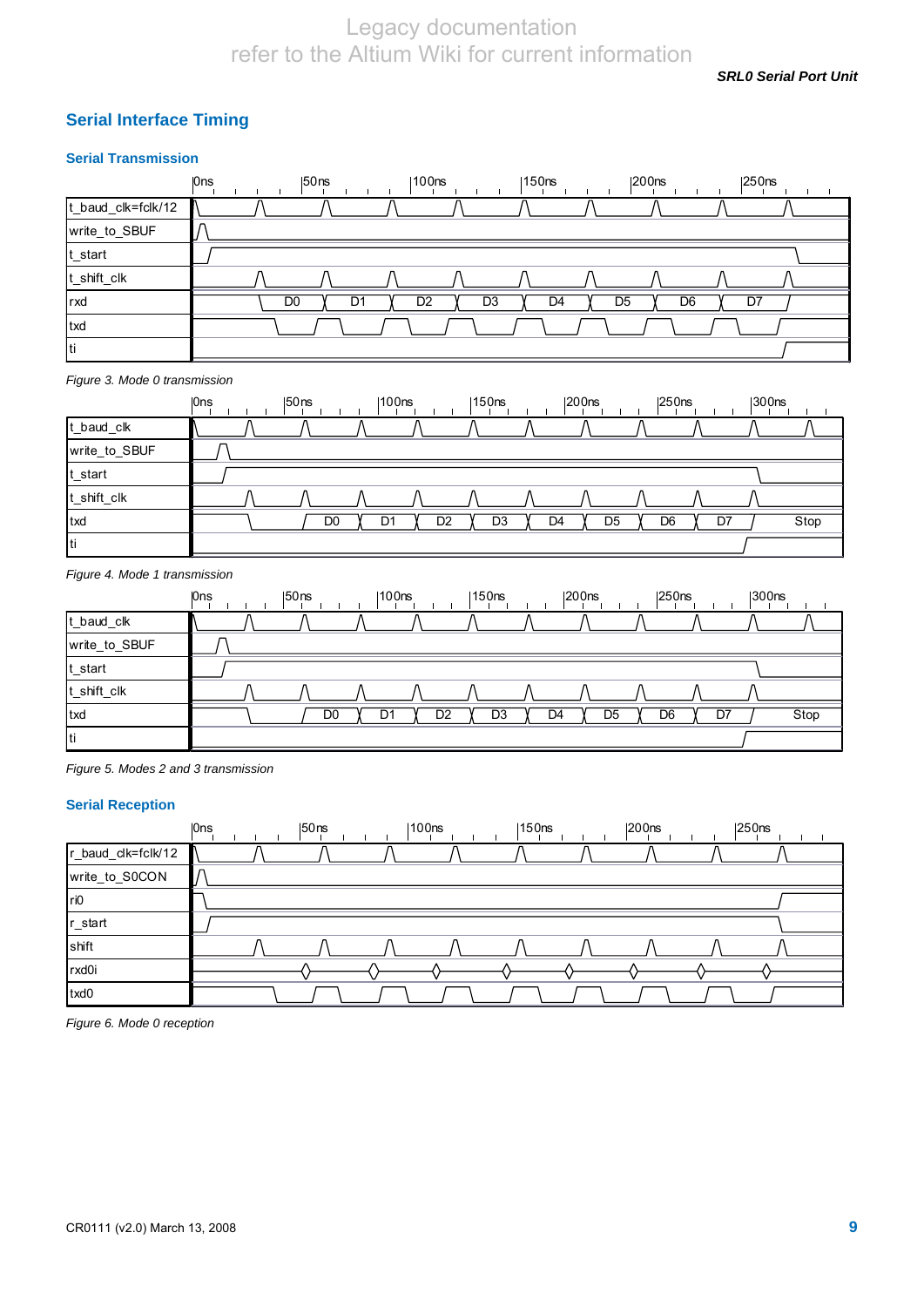*SRL0 Serial Port Unit* 

### **Serial Interface Timing**

### **Serial Transmission**

|                    | 0ns            | $ 50$ ns       | 100ns                            | 150 <sub>ns</sub>                | 200 <sub>ns</sub> | 250 <sub>ns</sub> |
|--------------------|----------------|----------------|----------------------------------|----------------------------------|-------------------|-------------------|
| t_baud_clk=fclk/12 |                |                |                                  |                                  |                   |                   |
| write_to_SBUF      |                |                |                                  |                                  |                   |                   |
| t_start            |                |                |                                  |                                  |                   |                   |
| t_shift_clk        |                |                |                                  |                                  |                   |                   |
| rxd                | D <sub>0</sub> | D <sub>1</sub> | D <sub>3</sub><br>D <sub>2</sub> | D <sub>4</sub><br>D <sub>5</sub> | D <sub>6</sub>    | D7                |
| txd                |                |                |                                  |                                  |                   |                   |
| ti                 |                |                |                                  |                                  |                   |                   |

*Figure 3. Mode 0 transmission* 

|               | 0ns | 150 <sub>ns</sub> | 100 <sub>ns</sub>    | $ 150$ ns      | $ 200$ ns            | $ 250$ ns      | 300 <sub>ns</sub> |
|---------------|-----|-------------------|----------------------|----------------|----------------------|----------------|-------------------|
| t_baud_clk    |     |                   |                      |                |                      |                |                   |
| write_to_SBUF |     |                   |                      |                |                      |                |                   |
| t_start       |     |                   |                      |                |                      |                |                   |
| t_shift_clk   |     |                   |                      |                |                      |                |                   |
| txd           |     | D0                | D <sub>2</sub><br>D. | D <sub>3</sub> | D <sub>5</sub><br>D4 | D <sub>6</sub> | Stop<br>D7        |
| <b>Iti</b>    |     |                   |                      |                |                      |                |                   |

#### *Figure 4. Mode 1 transmission*

|               | I <sub>Ons</sub> | $ 50$ ns | 100 <sub>ns</sub> |    | 150 <sub>ns</sub> |    | $ 200$ ns      | $ 250$ ns | 300 <sub>ns</sub> |      |
|---------------|------------------|----------|-------------------|----|-------------------|----|----------------|-----------|-------------------|------|
| t_baud_clk    |                  |          |                   |    |                   |    |                |           |                   |      |
| write_to_SBUF |                  |          |                   |    |                   |    |                |           |                   |      |
| t_start       |                  |          |                   |    |                   |    |                |           |                   |      |
| t_shift_clk   |                  |          |                   |    |                   |    |                |           |                   |      |
| <b>txd</b>    |                  | D0       | D.                | D2 | D <sub>3</sub>    | D4 | D <sub>5</sub> | D6        | D7                | Stop |
| Iti           |                  |          |                   |    |                   |    |                |           |                   |      |

*Figure 5. Modes 2 and 3 transmission* 

### **Serial Reception**

|                    | <b>Ons</b> | $ 50$ ns | 100ns | 150 <sub>ns</sub> | $ 200$ ns | $ 250$ ns |
|--------------------|------------|----------|-------|-------------------|-----------|-----------|
| r_baud_clk=fclk/12 |            |          |       |                   |           |           |
| write_to_S0CON     |            |          |       |                   |           |           |
| ri0                |            |          |       |                   |           |           |
| r_start            |            |          |       |                   |           |           |
| shift              |            |          |       |                   |           |           |
| rxd0i              |            |          |       |                   |           |           |
| txd0               |            |          |       |                   |           |           |

*Figure 6. Mode 0 reception*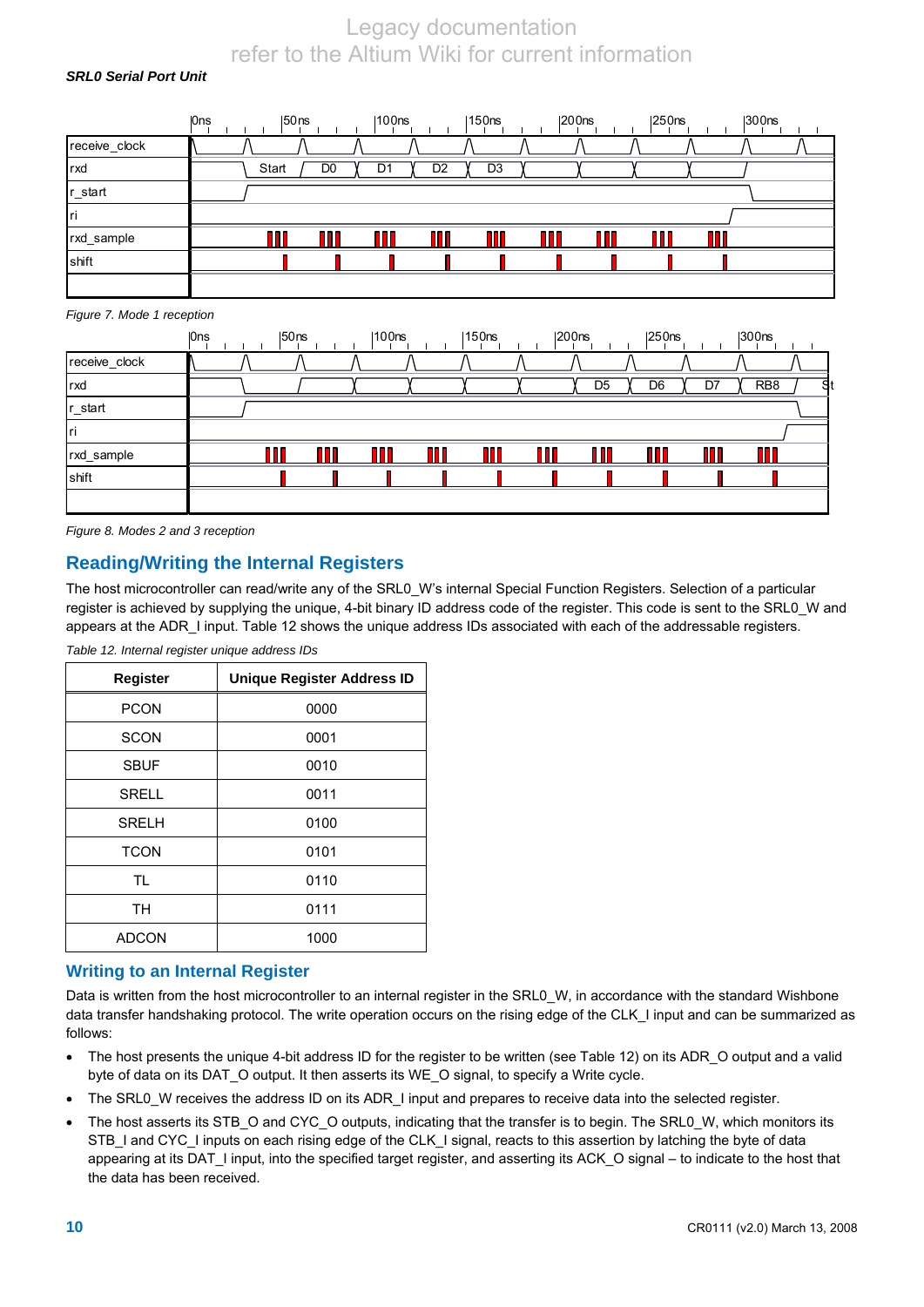### *SRL0 Serial Port Unit*

|               | 0ns | $ 50$ ns |                | 100ns |                | 150 <sub>ns</sub> | $ 200$ ns | $ 250$ ns | $ 300$ ns |  |
|---------------|-----|----------|----------------|-------|----------------|-------------------|-----------|-----------|-----------|--|
| receive_clock |     |          |                |       |                |                   |           |           |           |  |
| rxd           |     | Start    | D <sub>0</sub> | D1    | D <sub>2</sub> | D <sub>3</sub>    |           |           |           |  |
| r_start       |     |          |                |       |                |                   |           |           |           |  |
| Iri           |     |          |                |       |                |                   |           |           |           |  |
| rxd_sample    |     |          | m              |       | Ш              | n                 |           |           |           |  |
| shift         |     |          |                |       |                |                   |           |           |           |  |
|               |     |          |                |       |                |                   |           |           |           |  |

#### *Figure 7. Mode 1 reception*

|               | <b>Ons</b> | $ 50$ ns | 100 <sub>ns</sub> | $ 150$ ns | $ 200$ ns | $ 250$ ns      |    | $ 300$ ns       |    |
|---------------|------------|----------|-------------------|-----------|-----------|----------------|----|-----------------|----|
| receive_clock |            |          |                   |           |           |                |    |                 |    |
| <b>rxd</b>    |            |          |                   |           | D5        | D <sub>6</sub> | D7 | RB <sub>8</sub> | S. |
| r_start       |            |          |                   |           |           |                |    |                 |    |
| Iri           |            |          |                   |           |           |                |    |                 |    |
| rxd_sample    |            |          | П                 |           |           |                |    |                 |    |
| shift         |            |          |                   |           |           |                |    |                 |    |
|               |            |          |                   |           |           |                |    |                 |    |

*Figure 8. Modes 2 and 3 reception* 

### **Reading/Writing the Internal Registers**

The host microcontroller can read/write any of the SRL0 W's internal Special Function Registers. Selection of a particular register is achieved by supplying the unique, 4-bit binary ID address code of the register. This code is sent to the SRL0\_W and appears at the ADR\_I input. Table 12 shows the unique address IDs associated with each of the addressable registers.

| Register     | <b>Unique Register Address ID</b> |
|--------------|-----------------------------------|
| <b>PCON</b>  | 0000                              |
| <b>SCON</b>  | 0001                              |
| <b>SBUF</b>  | 0010                              |
| <b>SRELL</b> | 0011                              |
| <b>SRELH</b> | 0100                              |
| <b>TCON</b>  | 0101                              |
| <b>TL</b>    | 0110                              |
| TН           | 0111                              |
| <b>ADCON</b> | 1000                              |

*Table 12. Internal register unique address IDs* 

### **Writing to an Internal Register**

Data is written from the host microcontroller to an internal register in the SRL0 W, in accordance with the standard Wishbone data transfer handshaking protocol. The write operation occurs on the rising edge of the CLK I input and can be summarized as follows:

- The host presents the unique 4-bit address ID for the register to be written (see Table 12) on its ADR\_O output and a valid byte of data on its DAT\_O output. It then asserts its WE\_O signal, to specify a Write cycle.
- The SRL0\_W receives the address ID on its ADR\_I input and prepares to receive data into the selected register.
- The host asserts its STB\_O and CYC\_O outputs, indicating that the transfer is to begin. The SRL0\_W, which monitors its STB\_I and CYC\_I inputs on each rising edge of the CLK\_I signal, reacts to this assertion by latching the byte of data appearing at its DAT\_I input, into the specified target register, and asserting its ACK\_O signal – to indicate to the host that the data has been received.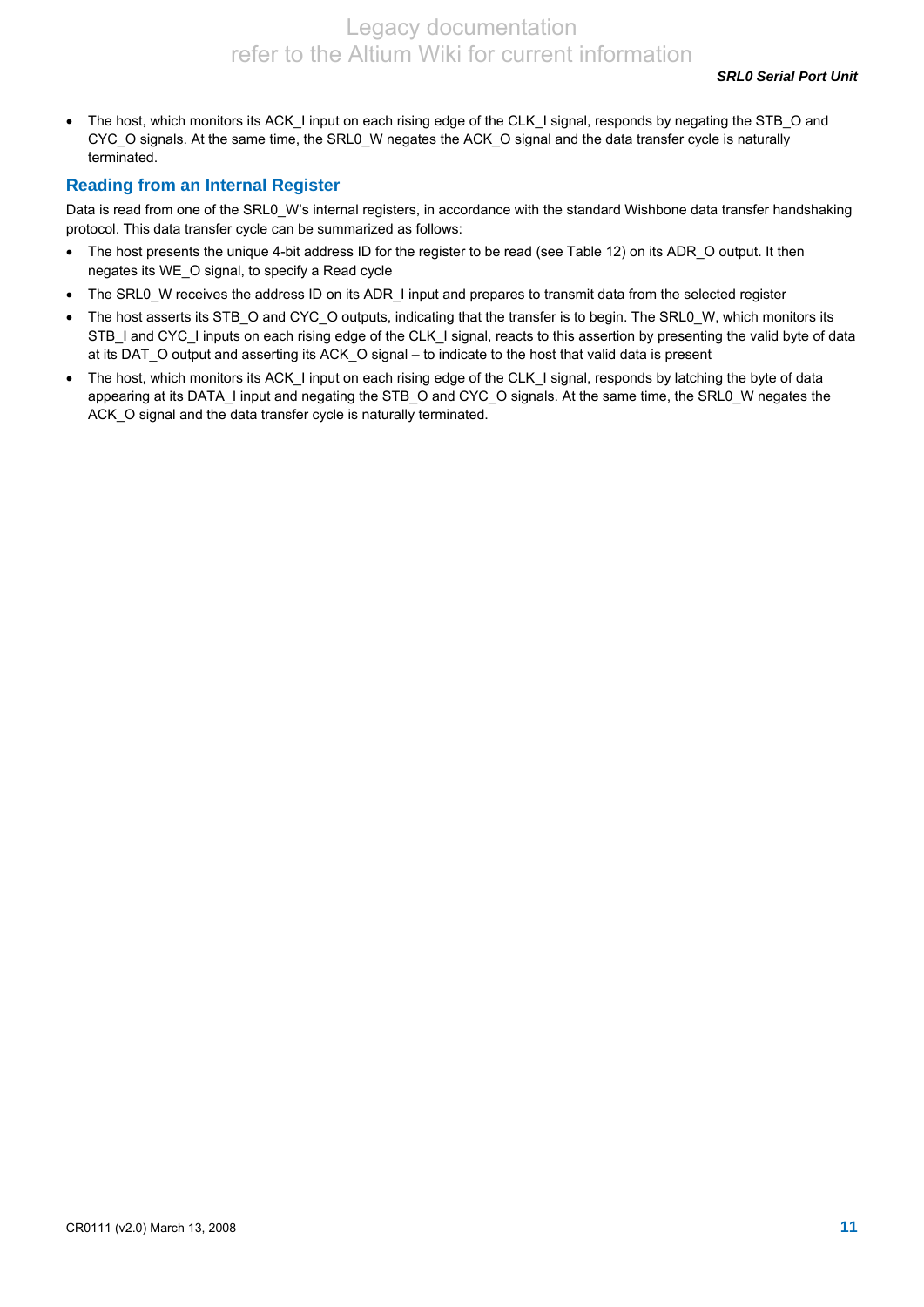• The host, which monitors its ACK\_I input on each rising edge of the CLK\_I signal, responds by negating the STB\_O and CYC\_O signals. At the same time, the SRL0\_W negates the ACK\_O signal and the data transfer cycle is naturally terminated.

### **Reading from an Internal Register**

Data is read from one of the SRL0 W's internal registers, in accordance with the standard Wishbone data transfer handshaking protocol. This data transfer cycle can be summarized as follows:

- The host presents the unique 4-bit address ID for the register to be read (see Table 12) on its ADR\_O output. It then negates its WE\_O signal, to specify a Read cycle
- The SRL0\_W receives the address ID on its ADR\_I input and prepares to transmit data from the selected register
- The host asserts its STB\_O and CYC\_O outputs, indicating that the transfer is to begin. The SRL0\_W, which monitors its STB\_I and CYC\_I inputs on each rising edge of the CLK\_I signal, reacts to this assertion by presenting the valid byte of data at its DAT\_O output and asserting its ACK\_O signal – to indicate to the host that valid data is present
- The host, which monitors its ACK I input on each rising edge of the CLK I signal, responds by latching the byte of data appearing at its DATA\_I input and negating the STB\_O and CYC\_O signals. At the same time, the SRL0\_W negates the ACK\_O signal and the data transfer cycle is naturally terminated.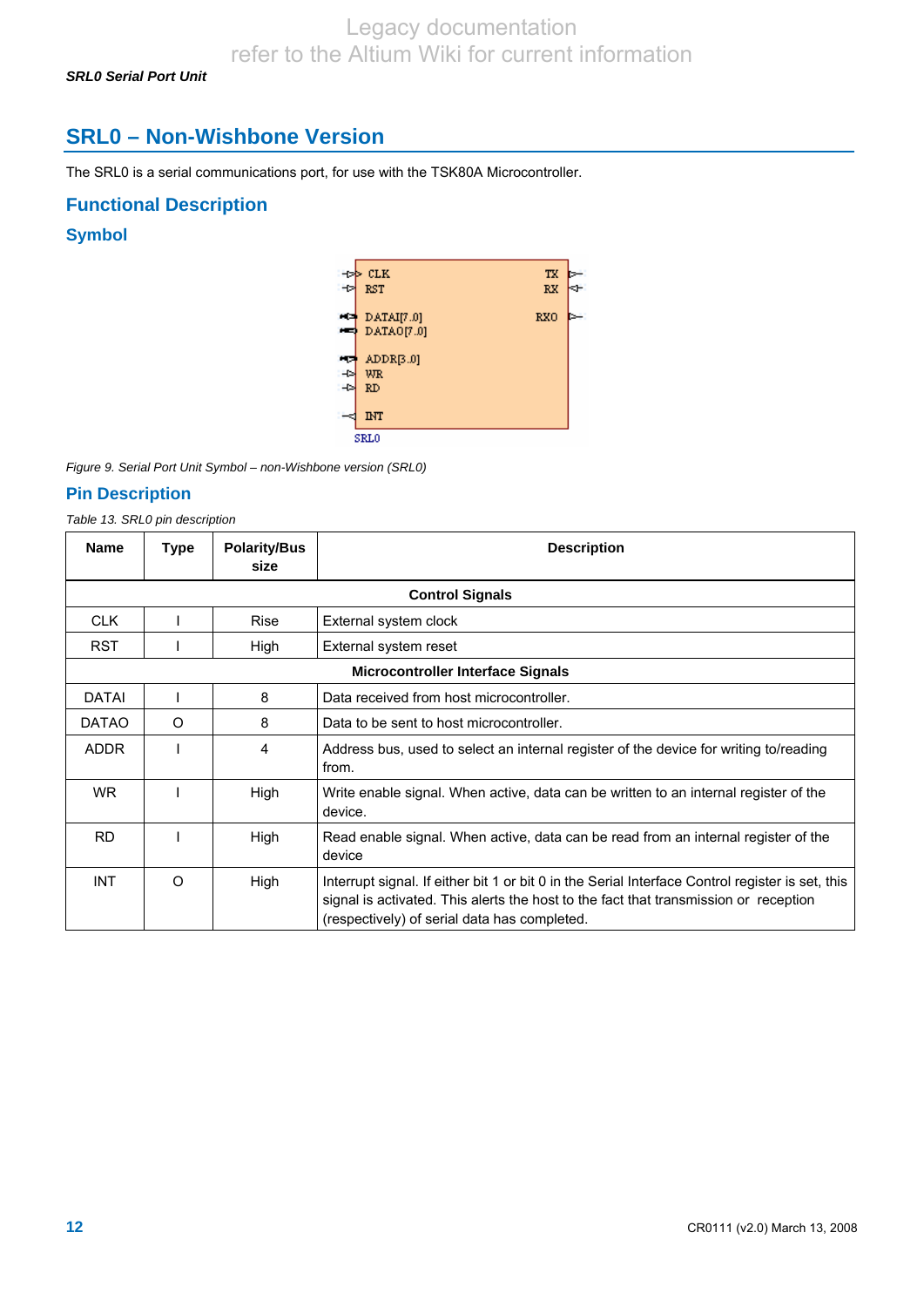*SRL0 Serial Port Unit* 

# **SRL0 – Non-Wishbone Version**

The SRL0 is a serial communications port, for use with the TSK80A Microcontroller.

### **Functional Description**

### **Symbol**



*Figure 9. Serial Port Unit Symbol – non-Wishbone version (SRL0)* 

### **Pin Description**

*Table 13. SRL0 pin description* 

| <b>Name</b>  | Type                                     | <b>Polarity/Bus</b><br>size | <b>Description</b>                                                                                                                                                                                                                       |  |  |  |  |  |  |
|--------------|------------------------------------------|-----------------------------|------------------------------------------------------------------------------------------------------------------------------------------------------------------------------------------------------------------------------------------|--|--|--|--|--|--|
|              | <b>Control Signals</b>                   |                             |                                                                                                                                                                                                                                          |  |  |  |  |  |  |
| <b>CLK</b>   |                                          | <b>Rise</b>                 | External system clock                                                                                                                                                                                                                    |  |  |  |  |  |  |
| <b>RST</b>   |                                          | High                        | External system reset                                                                                                                                                                                                                    |  |  |  |  |  |  |
|              | <b>Microcontroller Interface Signals</b> |                             |                                                                                                                                                                                                                                          |  |  |  |  |  |  |
| <b>DATAI</b> |                                          | 8                           | Data received from host microcontroller.                                                                                                                                                                                                 |  |  |  |  |  |  |
| <b>DATAO</b> | $\circ$                                  | 8                           | Data to be sent to host microcontroller.                                                                                                                                                                                                 |  |  |  |  |  |  |
| <b>ADDR</b>  |                                          | 4                           | Address bus, used to select an internal register of the device for writing to/reading<br>from.                                                                                                                                           |  |  |  |  |  |  |
| WR.          |                                          | High                        | Write enable signal. When active, data can be written to an internal register of the<br>device.                                                                                                                                          |  |  |  |  |  |  |
| <b>RD</b>    |                                          | High                        | Read enable signal. When active, data can be read from an internal register of the<br>device                                                                                                                                             |  |  |  |  |  |  |
| <b>INT</b>   | $\Omega$                                 | High                        | Interrupt signal. If either bit 1 or bit 0 in the Serial Interface Control register is set, this<br>signal is activated. This alerts the host to the fact that transmission or reception<br>(respectively) of serial data has completed. |  |  |  |  |  |  |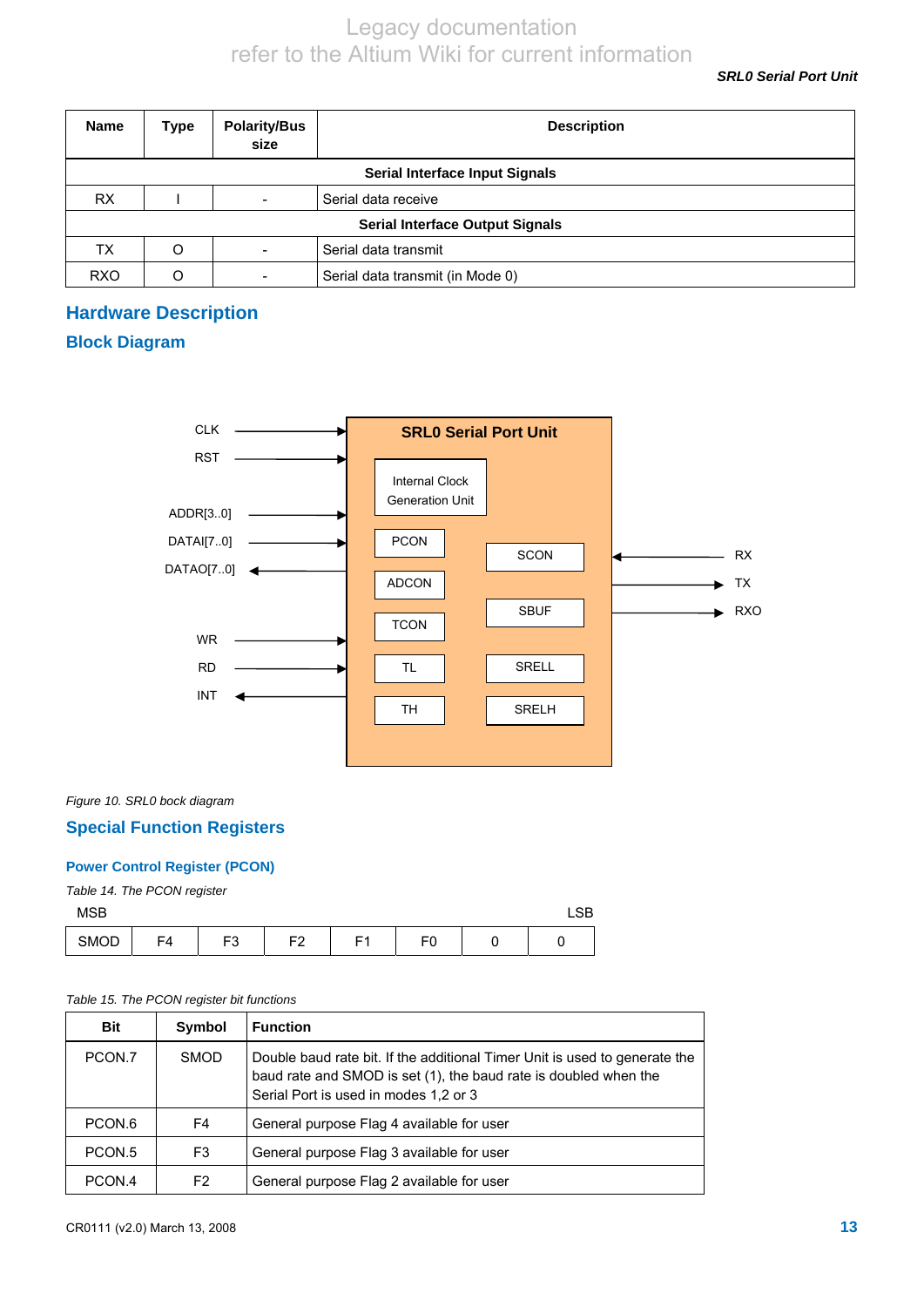*SRL0 Serial Port Unit* 

| <b>Name</b>                           | <b>Type</b>                            | <b>Polarity/Bus</b><br>size | <b>Description</b>               |  |  |  |  |  |
|---------------------------------------|----------------------------------------|-----------------------------|----------------------------------|--|--|--|--|--|
| <b>Serial Interface Input Signals</b> |                                        |                             |                                  |  |  |  |  |  |
| <b>RX</b>                             |                                        |                             | Serial data receive              |  |  |  |  |  |
|                                       | <b>Serial Interface Output Signals</b> |                             |                                  |  |  |  |  |  |
| ТX                                    | O                                      |                             | Serial data transmit             |  |  |  |  |  |
| <b>RXO</b>                            | O                                      |                             | Serial data transmit (in Mode 0) |  |  |  |  |  |

# **Hardware Description**

### **Block Diagram**



### *Figure 10. SRL0 bock diagram*

### **Special Function Registers**

### **Power Control Register (PCON)**

### *Table 14. The PCON register*

| <b>MSB</b> |    |    |                |                |    |  |  |
|------------|----|----|----------------|----------------|----|--|--|
| SMOD       | F4 | F3 | F <sub>2</sub> | E <sub>4</sub> | FO |  |  |

### *Table 15. The PCON register bit functions*

| Bit                | Symbol      | <b>Function</b>                                                                                                                                                                         |
|--------------------|-------------|-----------------------------------------------------------------------------------------------------------------------------------------------------------------------------------------|
| PCON.7             | <b>SMOD</b> | Double baud rate bit. If the additional Timer Unit is used to generate the<br>baud rate and SMOD is set (1), the baud rate is doubled when the<br>Serial Port is used in modes 1,2 or 3 |
| PCON <sub>.6</sub> | F4          | General purpose Flag 4 available for user                                                                                                                                               |
| PCON.5             | F3          | General purpose Flag 3 available for user                                                                                                                                               |
| PCON.4             | F2          | General purpose Flag 2 available for user                                                                                                                                               |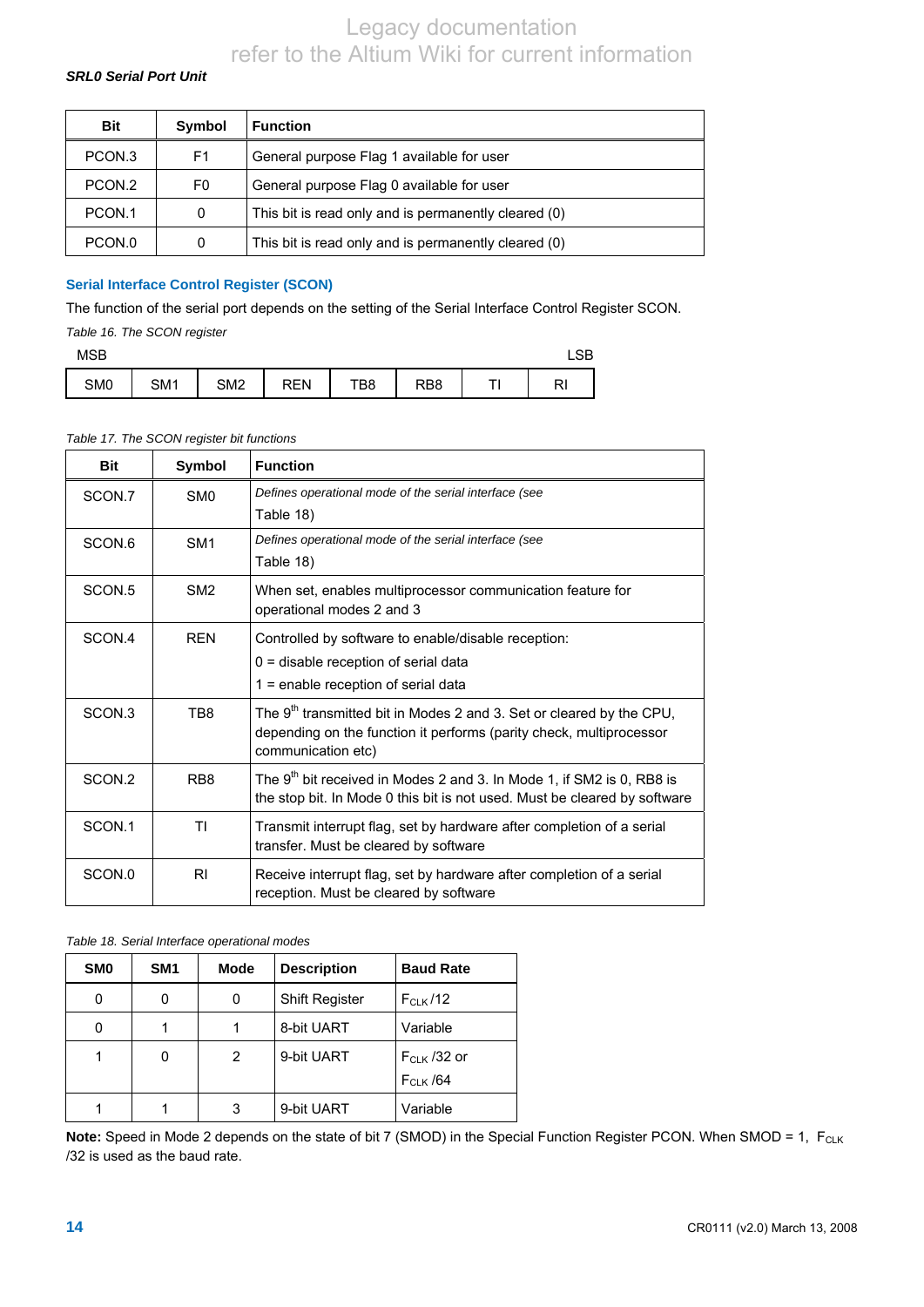### *SRL0 Serial Port Unit*

| <b>Bit</b>        | Symbol | <b>Function</b>                                      |
|-------------------|--------|------------------------------------------------------|
| PCON <sub>3</sub> | F1     | General purpose Flag 1 available for user            |
| PCON.2            | F0     | General purpose Flag 0 available for user            |
| PCON.1            | 0      | This bit is read only and is permanently cleared (0) |
| PCON.0            | Ω      | This bit is read only and is permanently cleared (0) |

### **Serial Interface Control Register (SCON)**

The function of the serial port depends on the setting of the Serial Interface Control Register SCON.

*Table 16. The SCON register* 

| <b>MSB</b> |     |     |                 |     |     |     |  |    |
|------------|-----|-----|-----------------|-----|-----|-----|--|----|
|            | SM0 | SM1 | SM <sub>2</sub> | REN | TB8 | RB8 |  | RI |

### *Table 17. The SCON register bit functions*

| <b>Bit</b>        | Symbol          | <b>Function</b>                                                                                                                                                               |
|-------------------|-----------------|-------------------------------------------------------------------------------------------------------------------------------------------------------------------------------|
| SCON.7            | SM <sub>0</sub> | Defines operational mode of the serial interface (see                                                                                                                         |
|                   |                 | Table 18)                                                                                                                                                                     |
| SCON.6            | SM <sub>1</sub> | Defines operational mode of the serial interface (see                                                                                                                         |
|                   |                 | Table 18)                                                                                                                                                                     |
| SCON.5            | SM <sub>2</sub> | When set, enables multiprocessor communication feature for                                                                                                                    |
|                   |                 | operational modes 2 and 3                                                                                                                                                     |
| SCON.4            | <b>RFN</b>      | Controlled by software to enable/disable reception:                                                                                                                           |
|                   |                 | $0 =$ disable reception of serial data                                                                                                                                        |
|                   |                 | 1 = enable reception of serial data                                                                                                                                           |
| SCON <sub>3</sub> | TB8             | The 9 <sup>th</sup> transmitted bit in Modes 2 and 3. Set or cleared by the CPU,<br>depending on the function it performs (parity check, multiprocessor<br>communication etc) |
| SCON.2            | RB <sub>8</sub> | The 9 <sup>th</sup> bit received in Modes 2 and 3. In Mode 1, if SM2 is 0, RB8 is<br>the stop bit. In Mode 0 this bit is not used. Must be cleared by software                |
| SCON.1            | ΤI              | Transmit interrupt flag, set by hardware after completion of a serial<br>transfer. Must be cleared by software                                                                |
| SCON.0            | RI              | Receive interrupt flag, set by hardware after completion of a serial<br>reception. Must be cleared by software                                                                |

#### <span id="page-13-0"></span>*Table 18. Serial Interface operational modes*

| SM <sub>0</sub> | SM <sub>1</sub> | <b>Mode</b> | <b>Description</b>    | <b>Baud Rate</b> |
|-----------------|-----------------|-------------|-----------------------|------------------|
|                 | 0               | 0           | <b>Shift Register</b> | $F_{CLK}$ /12    |
|                 |                 |             | 8-bit UART            | Variable         |
|                 | 0               | 2           | 9-bit UART            | $F_{CLK}$ /32 or |
|                 |                 |             |                       | $F_{CLK}$ /64    |
|                 |                 | 3           | 9-bit UART            | Variable         |

Note: Speed in Mode 2 depends on the state of bit 7 (SMOD) in the Special Function Register PCON. When SMOD = 1, F<sub>CLK</sub> /32 is used as the baud rate.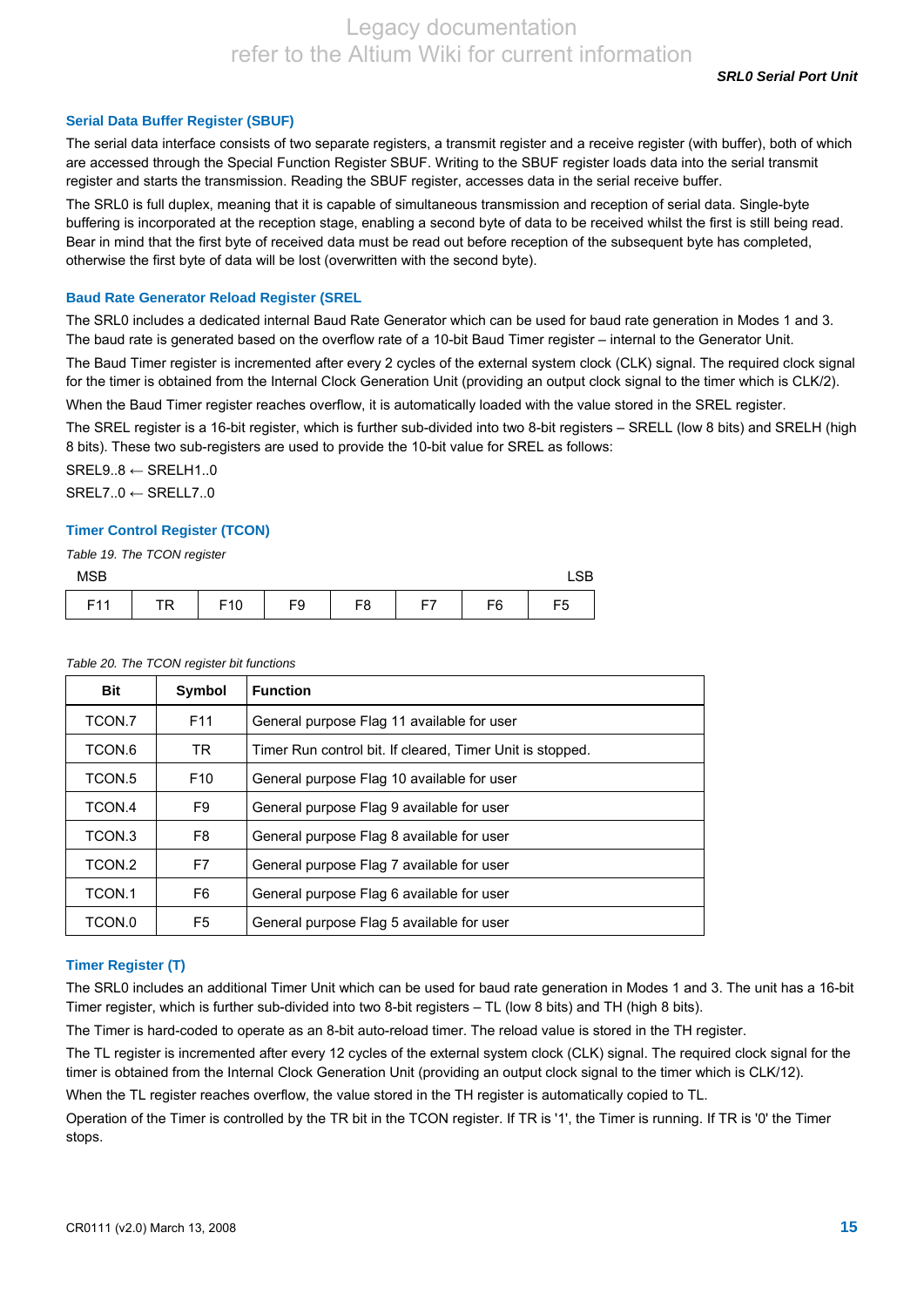#### **Serial Data Buffer Register (SBUF)**

The serial data interface consists of two separate registers, a transmit register and a receive register (with buffer), both of which are accessed through the Special Function Register SBUF. Writing to the SBUF register loads data into the serial transmit register and starts the transmission. Reading the SBUF register, accesses data in the serial receive buffer.

The SRL0 is full duplex, meaning that it is capable of simultaneous transmission and reception of serial data. Single-byte buffering is incorporated at the reception stage, enabling a second byte of data to be received whilst the first is still being read. Bear in mind that the first byte of received data must be read out before reception of the subsequent byte has completed, otherwise the first byte of data will be lost (overwritten with the second byte).

#### **Baud Rate Generator Reload Register (SREL**

The SRL0 includes a dedicated internal Baud Rate Generator which can be used for baud rate generation in Modes 1 and 3. The baud rate is generated based on the overflow rate of a 10-bit Baud Timer register – internal to the Generator Unit.

The Baud Timer register is incremented after every 2 cycles of the external system clock (CLK) signal. The required clock signal for the timer is obtained from the Internal Clock Generation Unit (providing an output clock signal to the timer which is CLK/2).

When the Baud Timer register reaches overflow, it is automatically loaded with the value stored in the SREL register.

The SREL register is a 16-bit register, which is further sub-divided into two 8-bit registers – SRELL (low 8 bits) and SRELH (high 8 bits). These two sub-registers are used to provide the 10-bit value for SREL as follows:

 $SREL9..8 \leftarrow SRELH1..0$  $SREL7..0 \leftarrow SRELL7..0$ 

#### **Timer Control Register (TCON)**

*Table 19. The TCON register* 

| <b>MSB</b> |                    |     |                |    |           |                |    |  |
|------------|--------------------|-----|----------------|----|-----------|----------------|----|--|
| E44<br>. . | тo<br>$\mathbf{u}$ | F10 | F <sub>9</sub> | F8 | <b>F7</b> | F <sub>6</sub> | F5 |  |

#### *Table 20. The TCON register bit functions*

| <b>Bit</b> | Symbol          | <b>Function</b>                                           |
|------------|-----------------|-----------------------------------------------------------|
| TCON.7     | F <sub>11</sub> | General purpose Flag 11 available for user                |
| TCON.6     | TR.             | Timer Run control bit. If cleared, Timer Unit is stopped. |
| TCON.5     | F <sub>10</sub> | General purpose Flag 10 available for user                |
| TCON 4     | F9              | General purpose Flag 9 available for user                 |
| TCON.3     | F8              | General purpose Flag 8 available for user                 |
| TCON 2     | F7              | General purpose Flag 7 available for user                 |
| TCON 1     | F6              | General purpose Flag 6 available for user                 |
| TCON.0     | F5              | General purpose Flag 5 available for user                 |

#### **Timer Register (T)**

The SRL0 includes an additional Timer Unit which can be used for baud rate generation in Modes 1 and 3. The unit has a 16-bit Timer register, which is further sub-divided into two 8-bit registers – TL (low 8 bits) and TH (high 8 bits).

The Timer is hard-coded to operate as an 8-bit auto-reload timer. The reload value is stored in the TH register.

The TL register is incremented after every 12 cycles of the external system clock (CLK) signal. The required clock signal for the timer is obtained from the Internal Clock Generation Unit (providing an output clock signal to the timer which is CLK/12).

When the TL register reaches overflow, the value stored in the TH register is automatically copied to TL.

Operation of the Timer is controlled by the TR bit in the TCON register. If TR is '1', the Timer is running. If TR is '0' the Timer stops.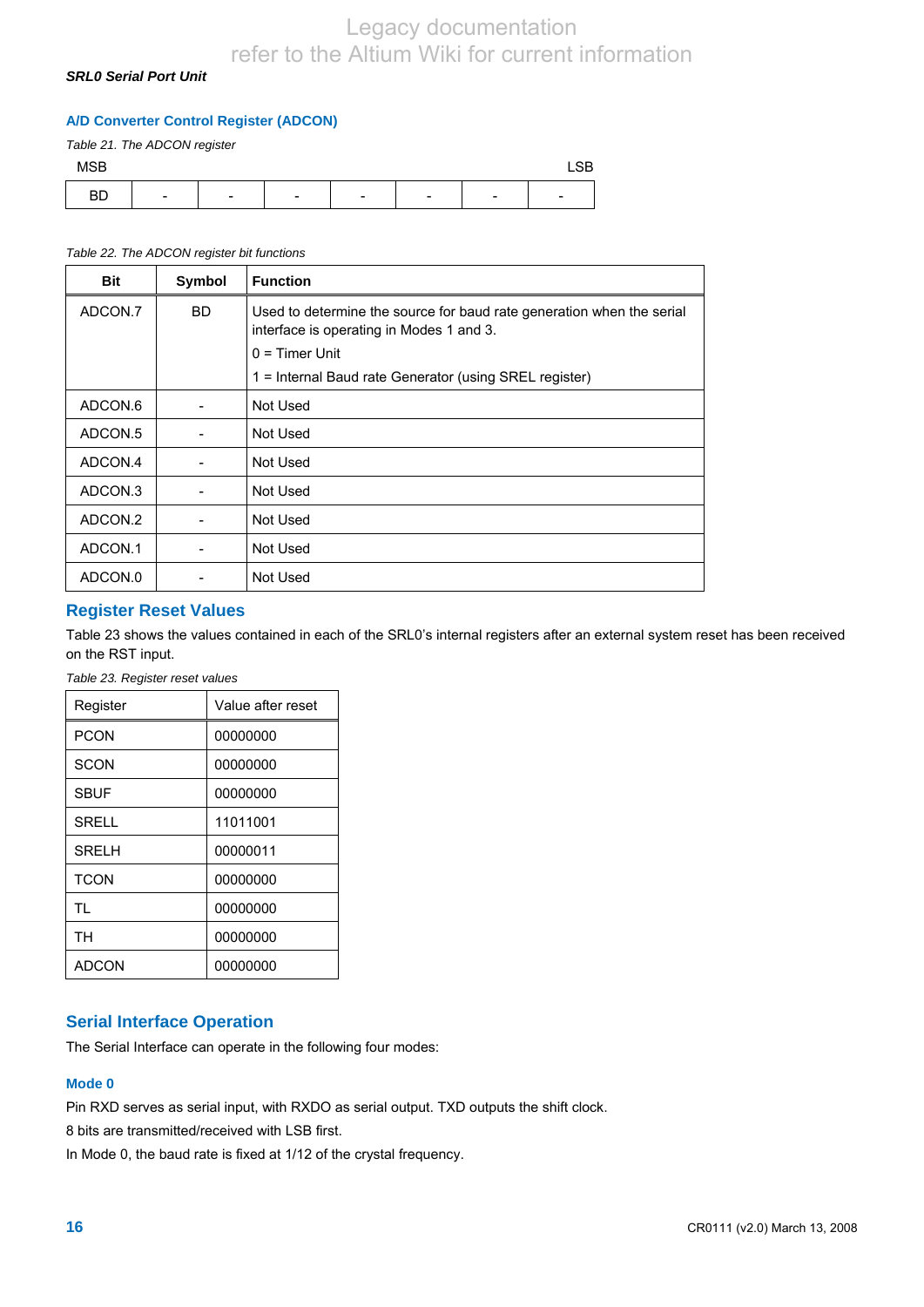### *SRL0 Serial Port Unit*

### **A/D Converter Control Register (ADCON)**

*Table 21. The ADCON register* 

| <b>MCD</b><br><b>IVIOD</b> |                          |                               |                          |                          |                               |                          | $\cap$<br>LOD.           |
|----------------------------|--------------------------|-------------------------------|--------------------------|--------------------------|-------------------------------|--------------------------|--------------------------|
| <b>BD</b>                  | $\overline{\phantom{a}}$ | $\overline{\phantom{0}}$<br>- | $\overline{\phantom{a}}$ | $\overline{\phantom{0}}$ | $\overline{\phantom{0}}$<br>- | $\overline{\phantom{a}}$ | $\overline{\phantom{0}}$ |

### *Table 22. The ADCON register bit functions*

| <b>Bit</b> | Symbol | <b>Function</b>                                                                                                   |
|------------|--------|-------------------------------------------------------------------------------------------------------------------|
| ADCON.7    | BD.    | Used to determine the source for baud rate generation when the serial<br>interface is operating in Modes 1 and 3. |
|            |        | $0 =$ Timer Unit                                                                                                  |
|            |        | 1 = Internal Baud rate Generator (using SREL register)                                                            |
| ADCON.6    |        | Not Used                                                                                                          |
| ADCON.5    |        | Not Used                                                                                                          |
| ADCON.4    |        | Not Used                                                                                                          |
| ADCON.3    |        | Not Used                                                                                                          |
| ADCON.2    |        | Not Used                                                                                                          |
| ADCON.1    |        | Not Used                                                                                                          |
| ADCON.0    |        | Not Used                                                                                                          |

### **Register Reset Values**

Table 23 shows the values contained in each of the SRL0's internal registers after an external system reset has been received on the RST input.

*Table 23. Register reset values* 

| Register     | Value after reset |
|--------------|-------------------|
| <b>PCON</b>  | 00000000          |
| <b>SCON</b>  | 00000000          |
| <b>SBUF</b>  | 00000000          |
| <b>SRELL</b> | 11011001          |
| <b>SRELH</b> | 00000011          |
| <b>TCON</b>  | 00000000          |
| <b>TL</b>    | 00000000          |
| <b>TH</b>    | 00000000          |
| ADCON        | 00000000          |

### **Serial Interface Operation**

The Serial Interface can operate in the following four modes:

### **Mode 0**

Pin RXD serves as serial input, with RXDO as serial output. TXD outputs the shift clock.

8 bits are transmitted/received with LSB first.

In Mode 0, the baud rate is fixed at 1/12 of the crystal frequency.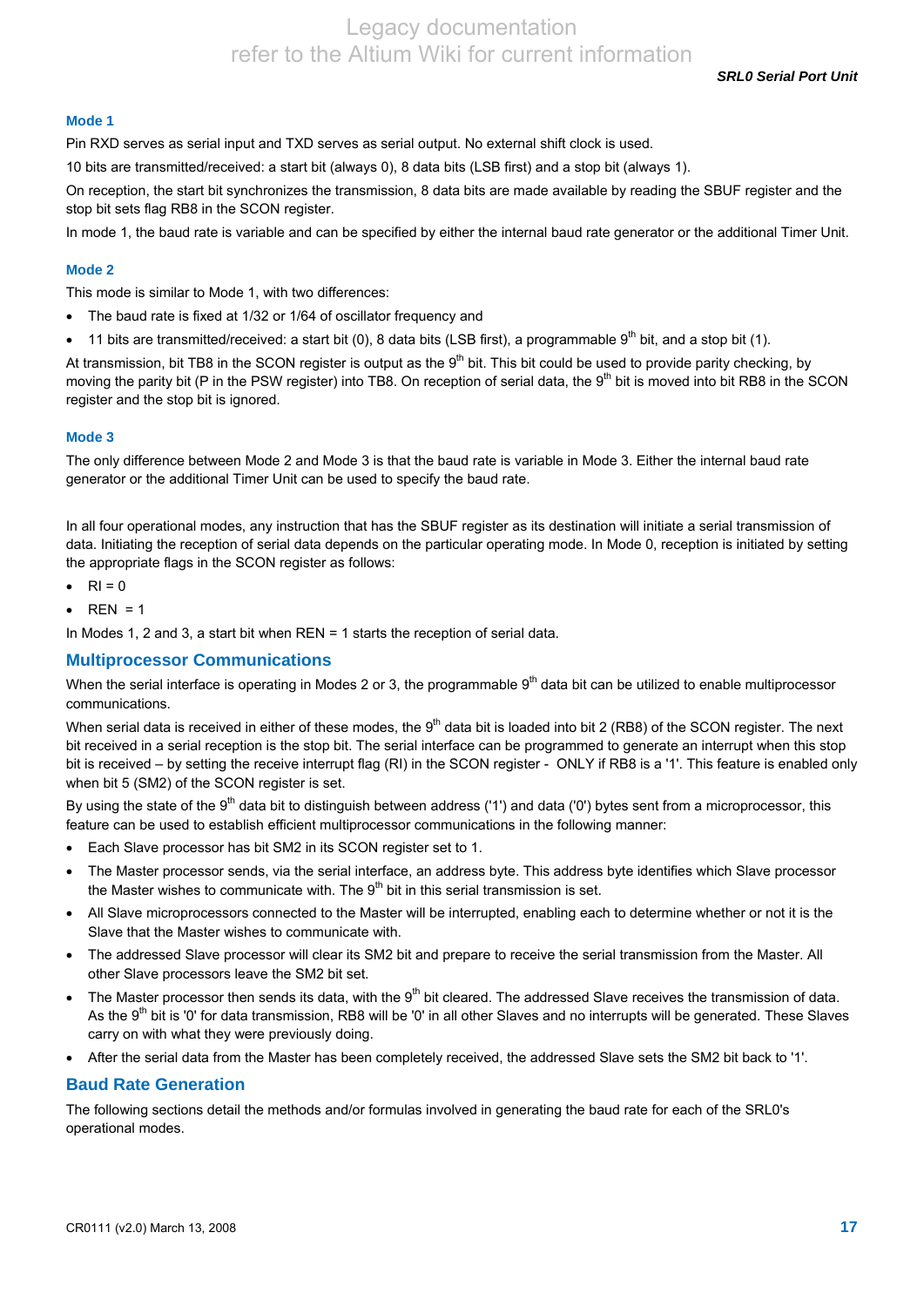*SRL0 Serial Port Unit* 

### **Mode 1**

Pin RXD serves as serial input and TXD serves as serial output. No external shift clock is used.

10 bits are transmitted/received: a start bit (always 0), 8 data bits (LSB first) and a stop bit (always 1).

On reception, the start bit synchronizes the transmission, 8 data bits are made available by reading the SBUF register and the stop bit sets flag RB8 in the SCON register.

In mode 1, the baud rate is variable and can be specified by either the internal baud rate generator or the additional Timer Unit.

### **Mode 2**

This mode is similar to Mode 1, with two differences:

- The baud rate is fixed at 1/32 or 1/64 of oscillator frequency and
- 11 bits are transmitted/received: a start bit (0), 8 data bits (LSB first), a programmable  $9<sup>th</sup>$  bit, and a stop bit (1).

At transmission, bit TB8 in the SCON register is output as the  $9<sup>th</sup>$  bit. This bit could be used to provide parity checking, by moving the parity bit (P in the PSW register) into TB8. On reception of serial data, the 9<sup>th</sup> bit is moved into bit RB8 in the SCON register and the stop bit is ignored.

### **Mode 3**

The only difference between Mode 2 and Mode 3 is that the baud rate is variable in Mode 3. Either the internal baud rate generator or the additional Timer Unit can be used to specify the baud rate.

In all four operational modes, any instruction that has the SBUF register as its destination will initiate a serial transmission of data. Initiating the reception of serial data depends on the particular operating mode. In Mode 0, reception is initiated by setting the appropriate flags in the SCON register as follows:

- $\bullet$  RI = 0
- $REN = 1$

In Modes 1, 2 and 3, a start bit when REN = 1 starts the reception of serial data.

### **Multiprocessor Communications**

When the serial interface is operating in Modes 2 or 3, the programmable  $9<sup>th</sup>$  data bit can be utilized to enable multiprocessor communications.

When serial data is received in either of these modes, the  $9<sup>th</sup>$  data bit is loaded into bit 2 (RB8) of the SCON register. The next bit received in a serial reception is the stop bit. The serial interface can be programmed to generate an interrupt when this stop bit is received – by setting the receive interrupt flag (RI) in the SCON register - ONLY if RB8 is a '1'. This feature is enabled only when bit 5 (SM2) of the SCON register is set.

By using the state of the 9<sup>th</sup> data bit to distinguish between address ('1') and data ('0') bytes sent from a microprocessor, this feature can be used to establish efficient multiprocessor communications in the following manner:

- Each Slave processor has bit SM2 in its SCON register set to 1.
- The Master processor sends, via the serial interface, an address byte. This address byte identifies which Slave processor the Master wishes to communicate with. The  $9<sup>th</sup>$  bit in this serial transmission is set.
- All Slave microprocessors connected to the Master will be interrupted, enabling each to determine whether or not it is the Slave that the Master wishes to communicate with.
- The addressed Slave processor will clear its SM2 bit and prepare to receive the serial transmission from the Master. All other Slave processors leave the SM2 bit set.
- The Master processor then sends its data, with the  $9<sup>th</sup>$  bit cleared. The addressed Slave receives the transmission of data. As the 9<sup>th</sup> bit is '0' for data transmission, RB8 will be '0' in all other Slaves and no interrupts will be generated. These Slaves carry on with what they were previously doing.
- After the serial data from the Master has been completely received, the addressed Slave sets the SM2 bit back to '1'.

### **Baud Rate Generation**

The following sections detail the methods and/or formulas involved in generating the baud rate for each of the SRL0's operational modes.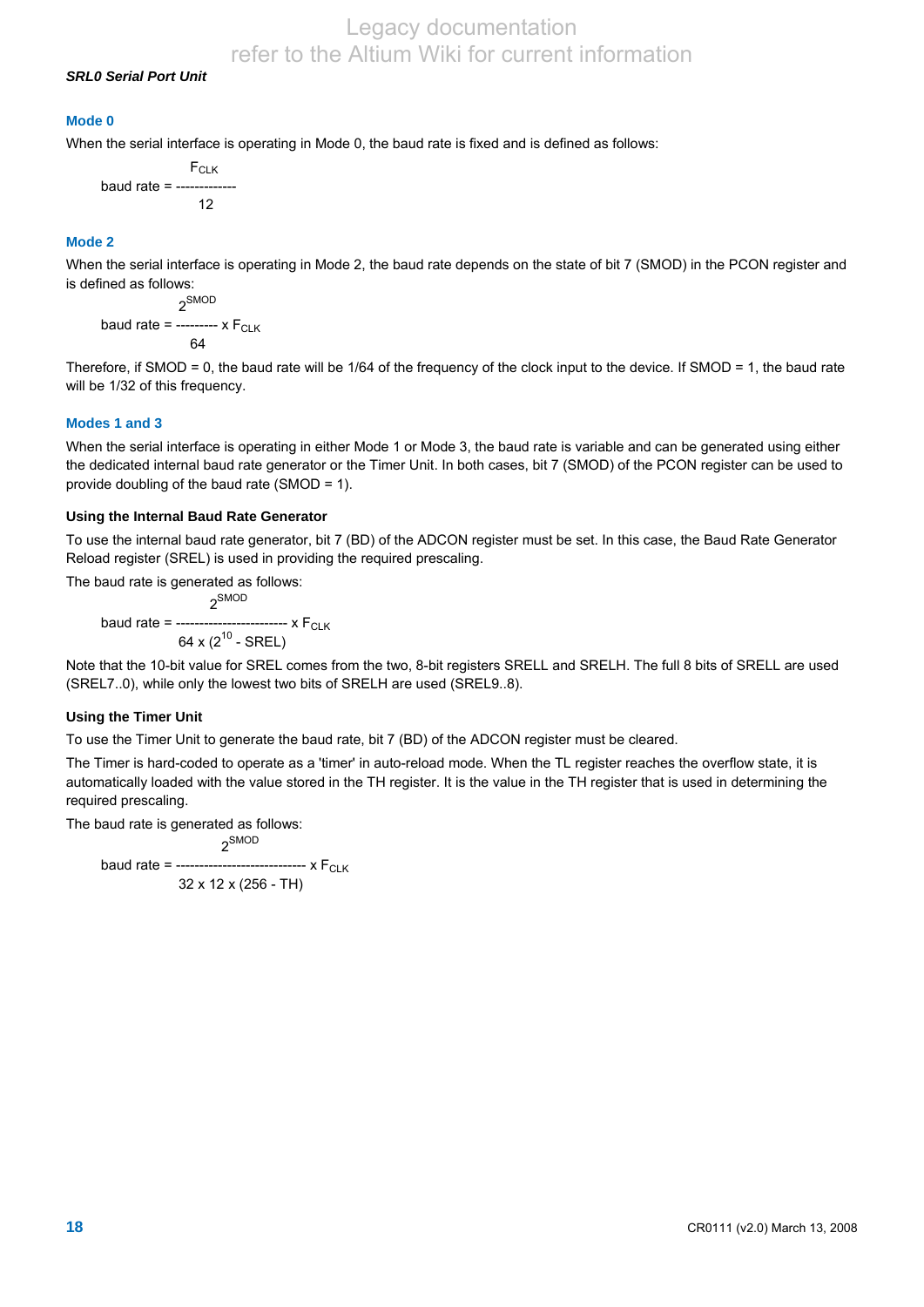### *SRL0 Serial Port Unit*

### **Mode 0**

When the serial interface is operating in Mode 0, the baud rate is fixed and is defined as follows:

F<sub>CLK</sub> baud rate  $= -$ 12

#### **Mode 2**

When the serial interface is operating in Mode 2, the baud rate depends on the state of bit 7 (SMOD) in the PCON register and is defined as follows:

 2SMOD baud rate =  $---x F_{CLK}$ 64

Therefore, if SMOD = 0, the baud rate will be 1/64 of the frequency of the clock input to the device. If SMOD = 1, the baud rate will be 1/32 of this frequency.

#### **Modes 1 and 3**

When the serial interface is operating in either Mode 1 or Mode 3, the baud rate is variable and can be generated using either the dedicated internal baud rate generator or the Timer Unit. In both cases, bit 7 (SMOD) of the PCON register can be used to provide doubling of the baud rate (SMOD = 1).

#### **Using the Internal Baud Rate Generator**

To use the internal baud rate generator, bit 7 (BD) of the ADCON register must be set. In this case, the Baud Rate Generator Reload register (SREL) is used in providing the required prescaling.

The baud rate is generated as follows:

 $2^{SMOD}$ baud rate = ------------------------ x F<sub>CLK</sub> 64 x  $(2^{10}$  - SREL)

Note that the 10-bit value for SREL comes from the two, 8-bit registers SRELL and SRELH. The full 8 bits of SRELL are used (SREL7..0), while only the lowest two bits of SRELH are used (SREL9..8).

#### **Using the Timer Unit**

To use the Timer Unit to generate the baud rate, bit 7 (BD) of the ADCON register must be cleared.

The Timer is hard-coded to operate as a 'timer' in auto-reload mode. When the TL register reaches the overflow state, it is automatically loaded with the value stored in the TH register. It is the value in the TH register that is used in determining the required prescaling.

The baud rate is generated as follows:

 $2^{SMOD}$ baud rate = ------------------------------ x  $F_{CLK}$ 32 x 12 x (256 - TH)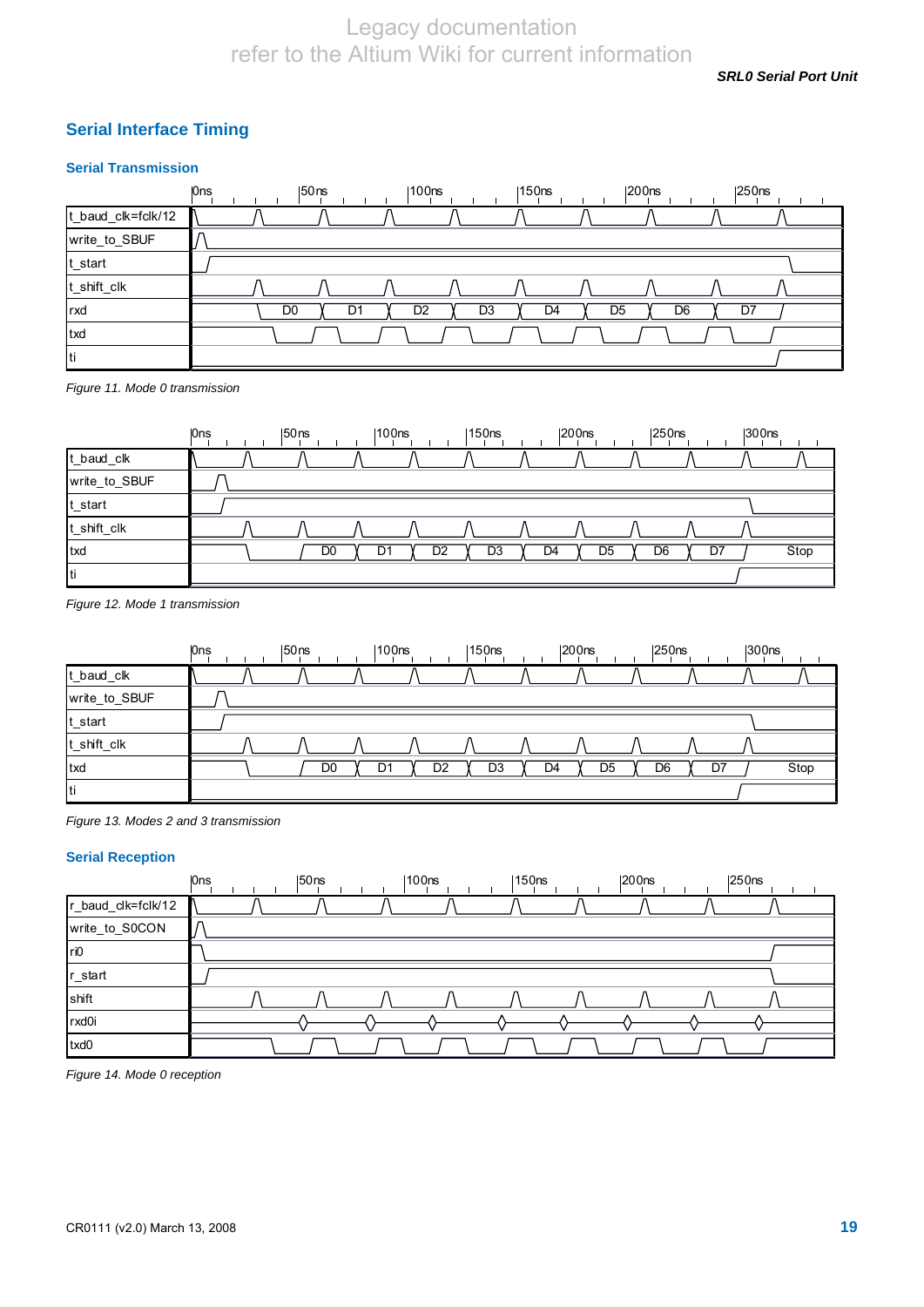*SRL0 Serial Port Unit* 

### **Serial Interface Timing**

### **Serial Transmission**



*Figure 11. Mode 0 transmission* 

|               | <b>Ons</b> | $ 50$ ns       | $ 100$ ns |    | 150 <sub>ns</sub> |                | 200 <sub>ns</sub> | $ 250$ ns            | $ 300$ ns |      |
|---------------|------------|----------------|-----------|----|-------------------|----------------|-------------------|----------------------|-----------|------|
| t_baud_clk    |            |                |           |    |                   |                |                   |                      |           |      |
| write_to_SBUF |            |                |           |    |                   |                |                   |                      |           |      |
| t_start       |            |                |           |    |                   |                |                   |                      |           |      |
| t_shift_clk   |            |                |           |    |                   |                |                   |                      |           |      |
| txd           |            | D <sub>0</sub> | D1        | D2 | D <sub>3</sub>    | D <sub>4</sub> | D <sub>5</sub>    | D <sub>6</sub><br>D7 |           | Stop |
| Iti           |            |                |           |    |                   |                |                   |                      |           |      |

*Figure 12. Mode 1 transmission* 

|               | <b>Ons</b> | $ 50$ ns | 100 <sub>ns</sub> | 150ns    | $ 200$ ns                        | $ 250$ ns | 300 <sub>ns</sub> |
|---------------|------------|----------|-------------------|----------|----------------------------------|-----------|-------------------|
| t_baud_clk    |            |          |                   |          |                                  |           |                   |
| write_to_SBUF |            |          |                   |          |                                  |           |                   |
| t_start       |            |          |                   |          |                                  |           |                   |
| t_shift_clk   |            |          |                   |          |                                  |           |                   |
| txd           |            | D0       | D1                | D2<br>D3 | D <sub>5</sub><br>D <sub>4</sub> | D6<br>D7  | Stop              |
| Iti           |            |          |                   |          |                                  |           |                   |

### **Serial Reception**

|                    | <b>Ons</b> | 50ns | $ 100$ ns | 150 <sub>ns</sub> | $ 200$ ns | $ 250$ ns |  |
|--------------------|------------|------|-----------|-------------------|-----------|-----------|--|
| r_baud_clk=fclk/12 |            |      |           |                   |           |           |  |
| write_to_S0CON     |            |      |           |                   |           |           |  |
| ri0                |            |      |           |                   |           |           |  |
| r_start            |            |      |           |                   |           |           |  |
| shift              |            |      |           |                   |           |           |  |
| rxd0i              |            |      |           |                   |           |           |  |
| txd0               |            |      |           |                   |           |           |  |

*Figure 14. Mode 0 reception* 

*Figure 13. Modes 2 and 3 transmission*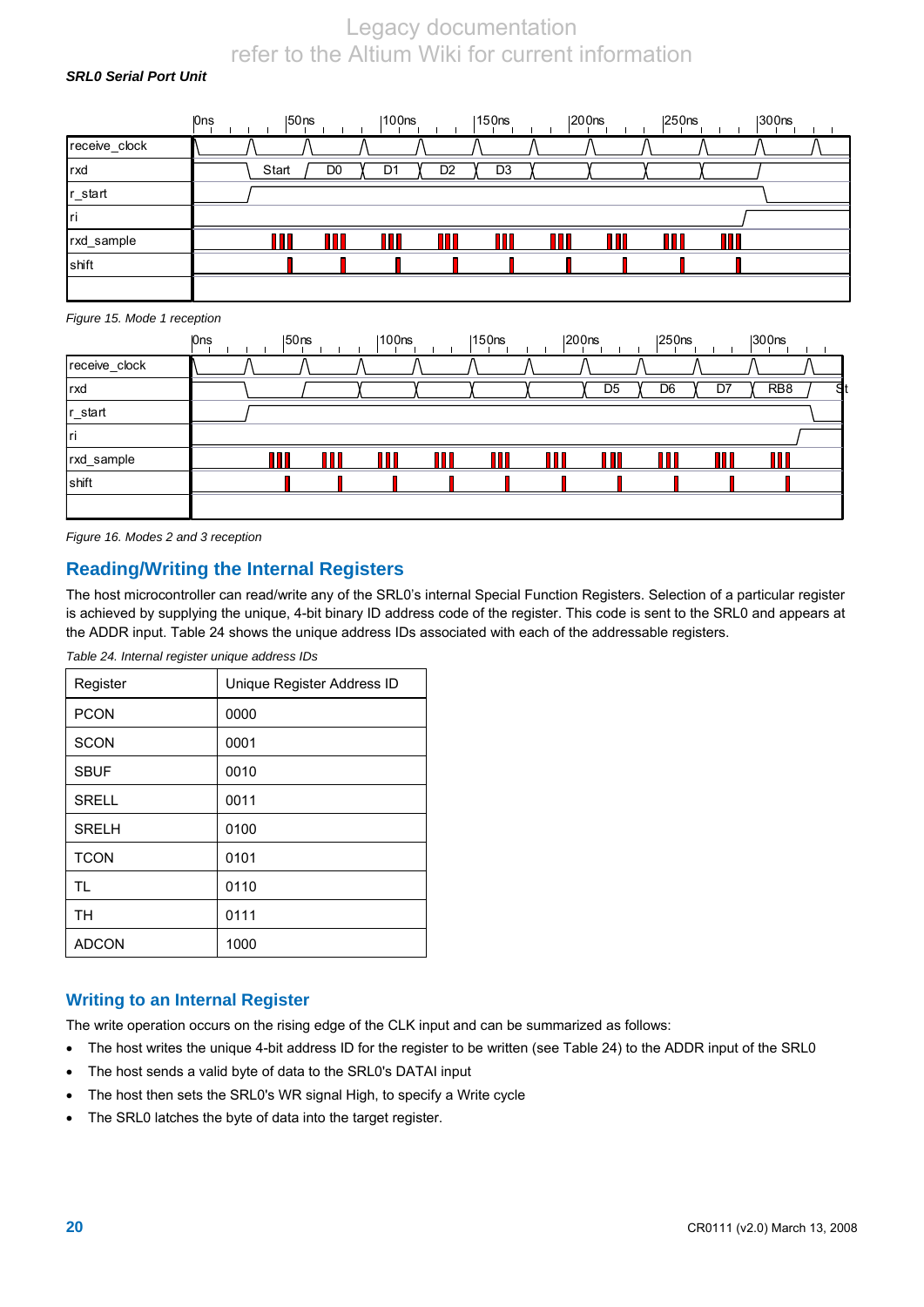### *SRL0 Serial Port Unit*

|               | 0ns | 150 <sub>ns</sub> |                | 100ns |                | 150 <sub>ns</sub> | 200 <sub>ns</sub> | $ 250$ ns | $ 300$ ns |  |
|---------------|-----|-------------------|----------------|-------|----------------|-------------------|-------------------|-----------|-----------|--|
| receive_clock |     |                   |                |       |                |                   |                   |           |           |  |
| rxd           |     | Start             | D <sub>0</sub> | D1    | D <sub>2</sub> | D <sub>3</sub>    |                   |           |           |  |
| r_start       |     |                   |                |       |                |                   |                   |           |           |  |
| Iri           |     |                   |                |       |                |                   |                   |           |           |  |
| rxd_sample    |     |                   | n n            | --    |                |                   |                   |           |           |  |
| shift         |     |                   |                |       |                |                   |                   |           |           |  |
|               |     |                   |                |       |                |                   |                   |           |           |  |

#### *Figure 15. Mode 1 reception*

|               | <b>Ons</b> | $ 50$ ns | $ 100$ ns | $ 150$ ns |   | $ 200$ ns | 250 <sub>ns</sub> |    | $ 300$ ns       |   |
|---------------|------------|----------|-----------|-----------|---|-----------|-------------------|----|-----------------|---|
| receive_clock |            |          |           |           |   |           |                   |    |                 |   |
| rxd           |            |          |           |           |   | D5        | D <sub>6</sub>    | D, | RB <sub>8</sub> | я |
| r_start       |            |          |           |           |   |           |                   |    |                 |   |
| Iri           |            |          |           |           |   |           |                   |    |                 |   |
| rxd_sample    |            |          | П П       |           | M |           |                   |    |                 |   |
| shift         |            |          |           |           |   |           |                   |    |                 |   |
|               |            |          |           |           |   |           |                   |    |                 |   |

*Figure 16. Modes 2 and 3 reception* 

### **Reading/Writing the Internal Registers**

The host microcontroller can read/write any of the SRL0's internal Special Function Registers. Selection of a particular register is achieved by supplying the unique, 4-bit binary ID address code of the register. This code is sent to the SRL0 and appears at the ADDR input. Table 24 shows the unique address IDs associated with each of the addressable registers.

| Register     | Unique Register Address ID |
|--------------|----------------------------|
| <b>PCON</b>  | 0000                       |
| <b>SCON</b>  | 0001                       |
| <b>SBUF</b>  | 0010                       |
| <b>SRELL</b> | 0011                       |
| <b>SRELH</b> | 0100                       |
| <b>TCON</b>  | 0101                       |
| <b>TL</b>    | 0110                       |
| <b>TH</b>    | 0111                       |
| <b>ADCON</b> | 1000                       |

*Table 24. Internal register unique address IDs* 

### **Writing to an Internal Register**

The write operation occurs on the rising edge of the CLK input and can be summarized as follows:

- The host writes the unique 4-bit address ID for the register to be written (see Table 24) to the ADDR input of the SRL0
- The host sends a valid byte of data to the SRL0's DATAI input
- The host then sets the SRL0's WR signal High, to specify a Write cycle
- The SRL0 latches the byte of data into the target register.